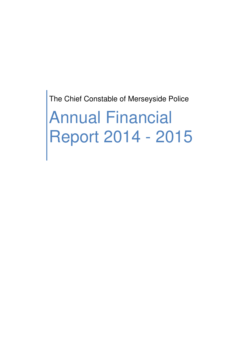The Chief Constable of Merseyside Police

Annual Financial Report 2014 - 2015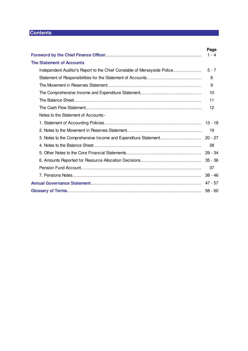# **Contents**

|                                                                          | Page    |
|--------------------------------------------------------------------------|---------|
|                                                                          | $1 - 4$ |
| <b>The Statement of Accounts</b>                                         |         |
| Independent Auditor's Report to the Chief Constable of Merseyside Police | $5 - 7$ |
|                                                                          | 8       |
|                                                                          | -9      |
|                                                                          | 10      |
|                                                                          | 11      |
|                                                                          | 12      |
| Notes to the Statement of Accounts:-                                     |         |
|                                                                          |         |
|                                                                          | -19     |
|                                                                          |         |
|                                                                          | 28      |
|                                                                          |         |
|                                                                          |         |
|                                                                          | 37      |
|                                                                          |         |
|                                                                          |         |
|                                                                          |         |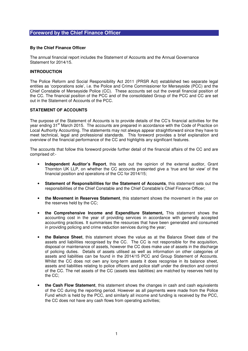#### **By the Chief Finance Officer**

The annual financial report includes the Statement of Accounts and the Annual Governance Statement for 2014/15.

#### **INTRODUCTION**

The Police Reform and Social Responsibility Act 2011 (PRSR Act) established two separate legal entities as 'corporations sole', i.e. the Police and Crime Commissioner for Merseyside (PCC) and the Chief Constable of Merseyside Police (CC). These accounts set out the overall financial position of the CC. The financial position of the PCC and of the consolidated Group of the PCC and CC are set out in the Statement of Accounts of the PCC.

#### **STATEMENT OF ACCOUNTS**

The purpose of the Statement of Accounts is to provide details of the CC's financial activities for the year ending 31<sup>st</sup> March 2015. The accounts are prepared in accordance with the Code of Practice on Local Authority Accounting. The statements may not always appear straightforward since they have to meet technical, legal and professional standards. This foreword provides a brief explanation and overview of the financial performance of the CC and highlights any significant features.

The accounts that follow this foreword provide further detail of the financial affairs of the CC and are comprised of:-

- **Independent Auditor's Report**, this sets out the opinion of the external auditor, Grant Thornton UK LLP, on whether the CC accounts presented give a 'true and fair view' of the financial position and operations of the CC for 2014/15;
- **Statement of Responsibilities for the Statement of Accounts**, this statement sets out the responsibilities of the Chief Constable and the Chief Constable's Chief Finance Officer;
- **the Movement in Reserves Statement**, this statement shows the movement in the year on the reserves held by the CC;
- **the Comprehensive Income and Expenditure Statement,** This statement shows the accounting cost in the year of providing services in accordance with generally accepted accounting practices. It summarises the resources that have been generated and consumed in providing policing and crime reduction services during the year;
- **the Balance Sheet**, this statement shows the value as at the Balance Sheet date of the assets and liabilities recognised by the CC. The CC is not responsible for the acquisition, disposal or maintenance of assets, however the CC does make use of assets in the discharge of policing duties. Details of assets utilised as well as information on other categories of assets and liabilities can be found in the 2014/15 PCC and Group Statement of Accounts. Whilst the CC does not own any long-term assets it does recognise in its balance sheet, assets and liabilities relating to police officers and police staff under the direction and control of the CC. The net assets of the CC (assets less liabilities) are matched by reserves held by the CC;
- **the Cash Flow Statement**, this statement shows the changes in cash and cash equivalents of the CC during the reporting period. However as all payments were made from the Police Fund which is held by the PCC, and similarly all income and funding is received by the PCC, the CC does not have any cash flows from operating activities;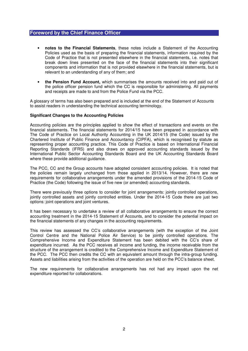- **notes to the Financial Statements**, these notes include a Statement of the Accounting Policies used as the basis of preparing the financial statements, information required by the Code of Practice that is not presented elsewhere in the financial statements, i.e. notes that break down lines presented on the face of the financial statements into their significant components and information that is not provided elsewhere in the financial statements, but is relevant to an understanding of any of them; and
- **the Pension Fund Account,** which summarises the amounts received into and paid out of the police officer pension fund which the CC is responsible for administering. All payments and receipts are made to and from the Police Fund via the PCC.

A glossary of terms has also been prepared and is included at the end of the Statement of Accounts to assist readers in understanding the technical accounting terminology.

#### **Significant Changes to the Accounting Policies**

Accounting policies are the principles applied to show the effect of transactions and events on the financial statements. The financial statements for 2014/15 have been prepared in accordance with The Code of Practice on Local Authority Accounting in the UK 2014/15 (the Code) issued by the Chartered Institute of Public Finance and Accountancy (CIPFA), which is recognised by statute as representing proper accounting practice. This Code of Practice is based on International Financial Reporting Standards (IFRS) and also draws on approved accounting standards issued by the International Public Sector Accounting Standards Board and the UK Accounting Standards Board where these provide additional quidance.

The PCC, CC and the Group accounts have adopted consistent accounting policies. It is noted that the policies remain largely unchanged from those applied in 2013/14. However, there are new requirements for collaborative arrangements under the amended provisions of the 2014-15 Code of Practice (the Code) following the issue of five new (or amended) accounting standards.

There were previously three options to consider for joint arrangements: jointly controlled operations, jointly controlled assets and jointly controlled entities. Under the 2014-15 Code there are just two options: joint operations and joint ventures.

It has been necessary to undertake a review of all collaborative arrangements to ensure the correct accounting treatment in the 2014-15 Statement of Accounts, and to consider the potential impact on the financial statements of any changes in the accounting requirements.

This review has assessed the CC's collaborative arrangements (with the exception of the Joint Control Centre and the National Police Air Service) to be jointly controlled operations. The Comprehensive Income and Expenditure Statement has been debited with the CC's share of expenditure incurred. As the PCC receives all income and funding, the income receivable from the structure of the arrangement is credited to the Comprehensive Income and Expenditure Statement of the PCC. The PCC then credits the CC with an equivalent amount through the intra-group funding. Assets and liabilities arising from the activities of the operation are held on the PCC's balance sheet.

The new requirements for collaborative arrangements has not had any impact upon the net expenditure reported for collaborations.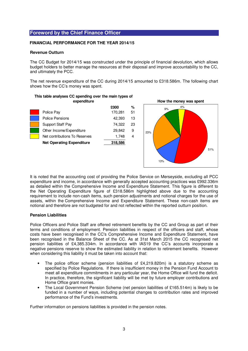### **FINANCIAL PERFORMANCE FOR THE YEAR 2014/15**

#### **Revenue Outturn**

The CC Budget for 2014/15 was constructed under the principle of financial devolution, which allows budget holders to better manage the resources at their disposal and improve accountability to the CC, and ultimately the PCC.

The net revenue expenditure of the CC during 2014/15 amounted to £318.586m. The following chart shows how the CC's money was spent.

| £000<br>170,281<br>42,393 | %<br>51 |
|---------------------------|---------|
|                           |         |
|                           |         |
|                           | 13      |
| 74,322                    | 23      |
| 29,842                    | 9       |
| 1,748                     | 4       |
| 318,586                   |         |
|                           |         |

**This table analyses CC spending over the main types of** 



It is noted that the accounting cost of providing the Police Service on Merseyside, excluding all PCC expenditure and income, in accordance with generally accepted accounting practices was £992.336m as detailed within the Comprehensive Income and Expenditure Statement. This figure is different to the Net Operating Expenditure figure of £318.586m highlighted above due to the accounting requirement to include non-cash items, such pension adjustments and notional charges for the use of assets, within the Comprehensive Income and Expenditure Statement. These non-cash items are notional and therefore are not budgeted for and not reflected within the reported outturn position.

## **Pension Liabilities**

Police Officers and Police Staff are offered retirement benefits by the CC and Group as part of their terms and conditions of employment. Pension liabilities in respect of the officers and staff, whose costs have been recognised in the CC's Comprehensive Income and Expenditure Statement, have been recognised in the Balance Sheet of the CC. As at 31st March 2015 the CC recognised net pension liabilities of £4,385.334m. In accordance with IAS19 the CC's accounts incorporate a negative pensions reserve to show the estimated liability in relation to retirement benefits. However when considering this liability it must be taken into account that:

- The police officer scheme (pension liabilities of £4,219.820m) is a statutory scheme as specified by Police Regulations. If there is insufficient money in the Pension Fund Account to meet all expenditure commitments in any particular year, the Home Office will fund the deficit. In practice, therefore, the significant liability will be met by future employer contributions and Home Office grant monies.
- The Local Government Pension Scheme (net pension liabilities of £165.514m) is likely to be funded in a number of ways, including potential changes to contribution rates and improved performance of the Fund's investments.

Further information on pensions liabilities is provided in the pension notes.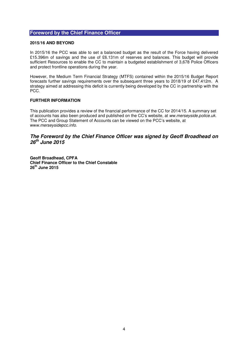### **2015/16 AND BEYOND**

In 2015/16 the PCC was able to set a balanced budget as the result of the Force having delivered £15.396m of savings and the use of £6.131m of reserves and balances. This budget will provide sufficient Resources to enable the CC to maintain a budgeted establishment of 3,678 Police Officers and protect frontline operations during the year.

However, the Medium Term Financial Strategy (MTFS) contained within the 2015/16 Budget Report forecasts further savings requirements over the subsequent three years to 2018/19 of £47.412m. A strategy aimed at addressing this deficit is currently being developed by the CC in partnership with the PCC.

## **FURTHER INFORMATION**

This publication provides a review of the financial performance of the CC for 2014/15. A summary set of accounts has also been produced and published on the CC's website, at ww.merseyside.police.uk. The PCC and Group Statement of Accounts can be viewed on the PCC's website, at www.merseysidepcc.info.

# **The Foreword by the Chief Finance Officer was signed by Geoff Broadhead on 26th June 2015**

**Geoff Broadhead, CPFA Chief Finance Officer to the Chief Constable 26th June 2015**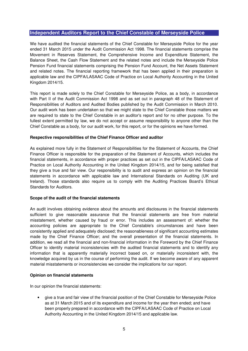# **Independent Auditors Report to the Chief Constable of Merseyside Police**

We have audited the financial statements of the Chief Constable for Merseyside Police for the year ended 31 March 2015 under the Audit Commission Act 1998. The financial statements comprise the Movement in Reserves Statement, the Comprehensive Income and Expenditure Statement, the Balance Sheet, the Cash Flow Statement and the related notes and include the Merseyside Police Pension Fund financial statements comprising the Pension Fund Account, the Net Assets Statement and related notes. The financial reporting framework that has been applied in their preparation is applicable law and the CIPFA/LASAAC Code of Practice on Local Authority Accounting in the United Kingdom 2014/15.

This report is made solely to the Chief Constable for Merseyside Police, as a body, in accordance with Part II of the Audit Commission Act 1998 and as set out in paragraph 48 of the Statement of Responsibilities of Auditors and Audited Bodies published by the Audit Commission in March 2010. Our audit work has been undertaken so that we might state to the Chief Constable those matters we are required to state to the Chief Constable in an auditor's report and for no other purpose. To the fullest extent permitted by law, we do not accept or assume responsibility to anyone other than the Chief Constable as a body, for our audit work, for this report, or for the opinions we have formed.

## **Respective responsibilities of the Chief Finance Officer and auditor**

As explained more fully in the Statement of Responsibilities for the Statement of Accounts, the Chief Finance Officer is responsible for the preparation of the Statement of Accounts, which includes the financial statements, in accordance with proper practices as set out in the CIPFA/LASAAC Code of Practice on Local Authority Accounting in the United Kingdom 2014/15, and for being satisfied that they give a true and fair view. Our responsibility is to audit and express an opinion on the financial statements in accordance with applicable law and International Standards on Auditing (UK and Ireland). Those standards also require us to comply with the Auditing Practices Board's Ethical Standards for Auditors.

## **Scope of the audit of the financial statements**

An audit involves obtaining evidence about the amounts and disclosures in the financial statements sufficient to give reasonable assurance that the financial statements are free from material misstatement, whether caused by fraud or error. This includes an assessment of: whether the accounting policies are appropriate to the Chief Constable's circumstances and have been consistently applied and adequately disclosed; the reasonableness of significant accounting estimates made by the Chief Finance Officer; and the overall presentation of the financial statements. In addition, we read all the financial and non-financial information in the Foreword by the Chief Finance Officer to identify material inconsistencies with the audited financial statements and to identify any information that is apparently materially incorrect based on, or materially inconsistent with, the knowledge acquired by us in the course of performing the audit. If we become aware of any apparent material misstatements or inconsistencies we consider the implications for our report.

## **Opinion on financial statements**

In our opinion the financial statements:

• give a true and fair view of the financial position of the Chief Constable for Merseyside Police as at 31 March 2015 and of its expenditure and income for the year then ended; and have been properly prepared in accordance with the CIPFA/LASAAC Code of Practice on Local Authority Accounting in the United Kingdom 2014/15 and applicable law.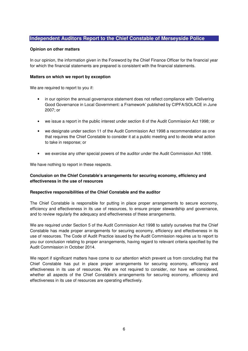# **Independent Auditors Report to the Chief Constable of Merseyside Police**

#### **Opinion on other matters**

In our opinion, the information given in the Foreword by the Chief Finance Officer for the financial year for which the financial statements are prepared is consistent with the financial statements.

#### **Matters on which we report by exception**

We are required to report to you if:

- in our opinion the annual governance statement does not reflect compliance with 'Delivering Good Governance in Local Government: a Framework' published by CIPFA/SOLACE in June 2007; or
- we issue a report in the public interest under section 8 of the Audit Commission Act 1998; or
- we designate under section 11 of the Audit Commission Act 1998 a recommendation as one that requires the Chief Constable to consider it at a public meeting and to decide what action to take in response; or
- we exercise any other special powers of the auditor under the Audit Commission Act 1998.

We have nothing to report in these respects.

# **Conclusion on the Chief Constable's arrangements for securing economy, efficiency and effectiveness in the use of resources**

#### **Respective responsibilities of the Chief Constable and the auditor**

The Chief Constable is responsible for putting in place proper arrangements to secure economy, efficiency and effectiveness in its use of resources, to ensure proper stewardship and governance, and to review regularly the adequacy and effectiveness of these arrangements.

We are required under Section 5 of the Audit Commission Act 1998 to satisfy ourselves that the Chief Constable has made proper arrangements for securing economy, efficiency and effectiveness in its use of resources. The Code of Audit Practice issued by the Audit Commission requires us to report to you our conclusion relating to proper arrangements, having regard to relevant criteria specified by the Audit Commission in October 2014.

We report if significant matters have come to our attention which prevent us from concluding that the Chief Constable has put in place proper arrangements for securing economy, efficiency and effectiveness in its use of resources. We are not required to consider, nor have we considered, whether all aspects of the Chief Constable's arrangements for securing economy, efficiency and effectiveness in its use of resources are operating effectively.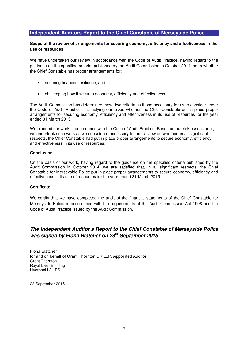# **Independent Auditors Report to the Chief Constable of Merseyside Police**

# **Scope of the review of arrangements for securing economy, efficiency and effectiveness in the use of resources**

We have undertaken our review in accordance with the Code of Audit Practice, having regard to the guidance on the specified criteria, published by the Audit Commission in October 2014, as to whether the Chief Constable has proper arrangements for:

- securing financial resilience; and
- challenging how it secures economy, efficiency and effectiveness.

The Audit Commission has determined these two criteria as those necessary for us to consider under the Code of Audit Practice in satisfying ourselves whether the Chief Constable put in place proper arrangements for securing economy, efficiency and effectiveness in its use of resources for the year ended 31 March 2015.

We planned our work in accordance with the Code of Audit Practice. Based on our risk assessment, we undertook such work as we considered necessary to form a view on whether, in all significant respects, the Chief Constable had put in place proper arrangements to secure economy, efficiency and effectiveness in its use of resources.

#### **Conclusion**

On the basis of our work, having regard to the guidance on the specified criteria published by the Audit Commission in October 2014, we are satisfied that, in all significant respects, the Chief Constable for Merseyside Police put in place proper arrangements to secure economy, efficiency and effectiveness in its use of resources for the year ended 31 March 2015.

## **Certificate**

We certify that we have completed the audit of the financial statements of the Chief Constable for Merseyside Police in accordance with the requirements of the Audit Commission Act 1998 and the Code of Audit Practice issued by the Audit Commission.

# **The Independent Auditor's Report to the Chief Constable of Merseyside Police was signed by Fiona Blatcher on 23rd September 2015**

Fiona Blatcher for and on behalf of Grant Thornton UK LLP, Appointed Auditor Grant Thornton Royal Liver Building Liverpool L3 1PS

23 September 2015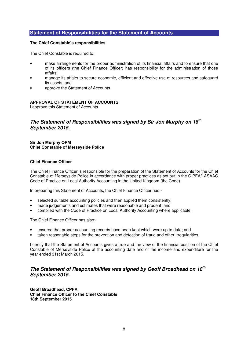# **Statement of Responsibilities for the Statement of Accounts**

#### **The Chief Constable's responsibilities**

The Chief Constable is required to:

- make arrangements for the proper administration of its financial affairs and to ensure that one of its officers (the Chief Finance Officer) has responsibility for the administration of those affairs;
- manage its affairs to secure economic, efficient and effective use of resources and safeguard its assets; and
- approve the Statement of Accounts.

#### **APPROVAL OF STATEMENT OF ACCOUNTS**

I approve this Statement of Accounts

# **The Statement of Responsibilities was signed by Sir Jon Murphy on 18th September 2015.**

#### **Sir Jon Murphy QPM Chief Constable of Merseyside Police**

#### **Chief Finance Officer**

The Chief Finance Officer is responsible for the preparation of the Statement of Accounts for the Chief Constable of Merseyside Police in accordance with proper practices as set out in the CIPFA/LASAAC Code of Practice on Local Authority Accounting in the United Kingdom (the Code).

In preparing this Statement of Accounts, the Chief Finance Officer has:-

- selected suitable accounting policies and then applied them consistently;
- made judgements and estimates that were reasonable and prudent; and
- complied with the Code of Practice on Local Authority Accounting where applicable.

The Chief Finance Officer has also:-

- ensured that proper accounting records have been kept which were up to date; and
- taken reasonable steps for the prevention and detection of fraud and other irregularities.

I certify that the Statement of Accounts gives a true and fair view of the financial position of the Chief Constable of Merseyside Police at the accounting date and of the income and expenditure for the year ended 31st March 2015.

# **The Statement of Responsibilities was signed by Geoff Broadhead on 18th September 2015.**

**Geoff Broadhead, CPFA Chief Finance Officer to the Chief Constable 18th September 2015**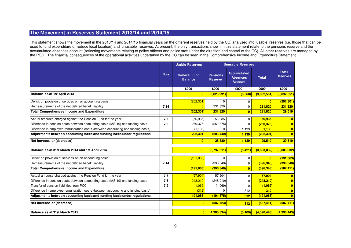# **The Movement in Reserves Statement 2013/14 and 2014/15**

This statement shows the movement in the 2013/14 and 2014/15 financial years on the different reserves held by the CC, analysed into 'usable' reserves (i.e. those that can be used to fund expenditure or reduce local taxation) and 'unusable' reserves. At present, the only transactions shown in this statement relate to the pensions reserve and the accumulated absences account (reflecting movements relating to police officers and police staff under the direction and control of the CC). All other reserves are managed by the PCC. The financial consequences of the operational activities undertaken by the CC can be seen in the Comprehensive Income and Expenditure Statement.

|                                                                                  |             | <b>Usable Reserves</b>                | <b>Unusable Reserves</b>          |                                                         |              |                                 |
|----------------------------------------------------------------------------------|-------------|---------------------------------------|-----------------------------------|---------------------------------------------------------|--------------|---------------------------------|
|                                                                                  | <b>Note</b> | <b>General Fund</b><br><b>Balance</b> | <b>Pensions</b><br><b>Reserve</b> | <b>Accumulated</b><br><b>Absences</b><br><b>Account</b> | <b>Total</b> | <b>Total</b><br><b>Reserves</b> |
|                                                                                  |             | £000                                  | £000                              | £000                                                    | £000         | £000                            |
| Balance as at 1st April 2013                                                     |             | $\bf{0}$                              | (3,825,991)                       | (6, 560)                                                | (3,832,551)  | (3,832,551)                     |
| Deficit on provision of services on an accounting basis                          |             | (202, 301)                            | n                                 | 0                                                       | $\mathbf{0}$ | (202, 301)                      |
| Remeasurements of the net defined benefit liability                              | 7.14        | $\overline{0}$                        | 231,820                           | $\mathbf 0$                                             | 231,820      | 231,820                         |
| <b>Total Comprehensive Income and Expenditure</b>                                |             | (202, 301)                            | 231,820                           | $\overline{0}$                                          | 231,820      | 29,519                          |
| Actual amounts charged against the Pension Fund for the year                     | 7.6         | (56, 935)                             | 56,935                            | $\Omega$                                                | 56,935       |                                 |
| Difference in pension costs between accounting basis (IAS 19) and funding basis  | 7.6         | 260,375                               | (260, 375)                        | 0                                                       | (260, 375)   |                                 |
| Difference in employee remuneration costs (between accounting and funding basis) |             | (1, 139)                              |                                   | 1,139                                                   | 1,139        | $\bf{0}$                        |
| Adjustments between accounting basis and funding basis under regulations:        |             | 202,301                               | (203, 440)                        | 1,139                                                   | (202, 301)   | $\mathbf{0}$                    |
| Net increase or (decrease)                                                       |             | $\mathbf{0}$                          | 28,380                            | 1,139                                                   | 29,519       | 29,519                          |
| Balance as at 31st March 2014 and 1st April 2014                                 |             | $\overline{0}$                        | (3,797,611)                       | (5, 421)                                                | (3,803,032)  | (3,803,032)                     |
| Deficit on provision of services on an accounting basis                          |             | (191,063)                             | $\Omega$                          | 0                                                       | $\mathbf{0}$ | (191,063)                       |
| Remeasurements of the net defined benefit liability                              | 7.14        | $\Omega$                              | (396, 348)                        | 0                                                       | (396, 348)   | (396, 348)                      |
| <b>Total Comprehensive Income and Expenditure</b>                                |             | (191,063)                             | (396, 348)                        | $\overline{0}$                                          | (396, 348)   | (587, 411)                      |
| Actual amounts charged against the Pension Fund for the year                     | 7.6         | (57, 904)                             | 57,904                            | 0                                                       | 57,904       |                                 |
| Difference in pension costs between accounting basis (IAS 19) and funding basis  | 7.6         | 248,210                               | (248, 210)                        | 0                                                       | (248, 210)   |                                 |
| Transfer of pension liabilities from PCC                                         | 7.2         | 1,069                                 | (1,069)                           | 0                                                       | (1,069)      |                                 |
| Difference in employee remuneration costs (between accounting and funding basis) |             | (312)                                 |                                   | 312                                                     | 312          | $\bf{0}$                        |
| Adjustments between accounting basis and funding basis under regulations:        |             | 191,063                               | (191, 375)                        | 312                                                     | (191, 063)   | $\mathbf{0}$                    |
| Net increase or (decrease)                                                       |             |                                       | (587, 723)                        | 312                                                     | (587, 411)   | (587, 411)                      |
| Balance as at 31st March 2015                                                    |             | $\mathbf{0}$                          | (4,385,334)                       | (5, 109)                                                | (4,390,443)  | (4,390,443)                     |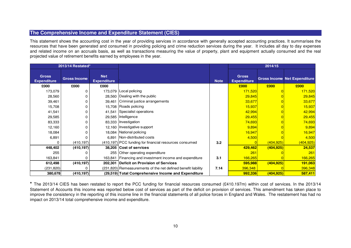# **The Comprehensive Income and Expenditure Statement (CIES)**

This statement shows the accounting cost in the year of providing services in accordance with generally accepted accounting practices. It summarises the resources that have been generated and consumed in providing policing and crime reduction services during the year. It includes all day to day expenses and related income on an accruals basis, as well as transactions measuring the value of property, plant and equipment actually consumed and the real projected value of retirement benefits earned by employees in the year.

| 2013/14 Restated*                  |                     |                                  |                                                               |             | 2014/15                            |            |                                     |
|------------------------------------|---------------------|----------------------------------|---------------------------------------------------------------|-------------|------------------------------------|------------|-------------------------------------|
| <b>Gross</b><br><b>Expenditure</b> | <b>Gross Income</b> | <b>Net</b><br><b>Expenditure</b> |                                                               | <b>Note</b> | <b>Gross</b><br><b>Expenditure</b> |            | <b>Gross Income Net Expenditure</b> |
| £000                               | £000                | £000                             |                                                               |             | £000                               | £000       | £000                                |
| 173,079                            |                     |                                  | 173.079 Local policing                                        |             | 171,520                            |            | 171,520                             |
| 28,560                             |                     |                                  | 28,560 Dealing with the public                                |             | 29,845                             |            | 29,845                              |
| 39,461                             |                     |                                  | 39,461 Criminal justice arrangements                          |             | 33,677                             |            | 33,677                              |
| 15,708                             |                     |                                  | 15.708 Roads policing                                         |             | 15,937                             |            | 15,937                              |
| 41,541                             |                     | 41,541                           | Specialist operations                                         |             | 42,994                             |            | 42,994                              |
| 29,585                             |                     |                                  | 29,585 Intelligence                                           |             | 29,455                             |            | 29,455                              |
| 83,333                             |                     |                                  | 83,333   Investigation                                        |             | 74,693                             |            | 74,693                              |
| 12,160                             |                     |                                  | 12,160 Investigative support                                  |             | 9,894                              |            | 9,894                               |
| 18,084                             |                     |                                  | 18,084 National policing                                      |             | 16,947                             |            | 16,947                              |
| 6,891                              |                     |                                  | 6,891 Non-distributed costs                                   |             | 4,500                              |            | 4,500                               |
| n                                  | (410, 197)          |                                  | (410,197) PCC funding for financial resources consumed        | 3.2         |                                    | (404, 925) | <u>(404,925)</u>                    |
| 448,402                            | (410, 197)          |                                  | 38,205 Cost of services                                       |             | 429,462                            | (404, 925) | 24,537                              |
| 255                                |                     |                                  | 255 Other operating expenditure                               |             | 261                                |            | 261                                 |
| 163,841                            |                     | 163,841                          | Financing and investment income and expenditure               | 3.1         | 166,265                            |            | 166,265                             |
| 612,498                            | (410, 197)          |                                  | 202,301 Deficit on Provision of Services                      |             | 595,988                            | (404, 925) | 191,063                             |
| (231, 820)                         |                     |                                  | (231,820) Remeasurements of the net defined benefit liability | 7.14        | 396,348                            |            | 396,348                             |
| 380,678                            | (410, 197)          |                                  | (29,519) Total Comprehensive Income and Expenditure           |             | 992,336                            | (404, 925) | 587,411                             |

**\*** The 2013/14 CIES has been restated to report the PCC funding for financial resources consumed (£410.197m) within cost of services. In the 2013/14 Statement of Accounts this income was reported below cost of services as part of the deficit on provision of services. This amendment has taken place to improve the consistency in the reporting of this income line in the financial statements of all police forces in England and Wales. The restatement has had no impact on 2013/14 total comprehensive income and expenditure.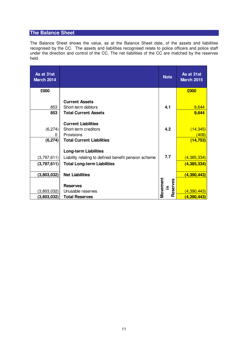# **The Balance Sheet**

The Balance Sheet shows the value, as at the Balance Sheet date, of the assets and liabilities recognised by the CC. The assets and liabilities recognised relate to police officers and police staff under the direction and control of the CC. The net liabilities of the CC are matched by the reserves held.

| As at 31st<br><b>March 2014</b> |                                                                                                                            | <b>Note</b>                | As at 31st<br><b>March 2015</b>   |
|---------------------------------|----------------------------------------------------------------------------------------------------------------------------|----------------------------|-----------------------------------|
| £000                            |                                                                                                                            |                            | £000                              |
| 853<br>853                      | <b>Current Assets</b><br>Short-term debtors<br><b>Total Current Assets</b>                                                 | 4.1                        | 9,644<br>9,644                    |
| (6, 274)<br>ი<br>(6, 274)       | <b>Current Liabilities</b><br>Short-term creditors<br>Provisions<br><b>Total Current Liabilities</b>                       | 4.2                        | (14, 345)<br>(408)<br>(14, 753)   |
| (3,797,611)<br>(3,797,611)      | <b>Long-term Liabilities</b><br>Liability relating to defined benefit pension scheme<br><b>Total Long-term Liabilities</b> | 7.7                        | (4,385,334)<br>(4, 385, 334)      |
| (3,803,032)                     | <b>Net Liabilities</b><br><b>Reserves</b>                                                                                  | Movement<br>Reserves<br>크. | (4,390,443)                       |
| (3,803,032)<br>(3,803,032)      | Unusable reserves<br><b>Total Reserves</b>                                                                                 |                            | <u>(4,390,443)</u><br>(4,390,443) |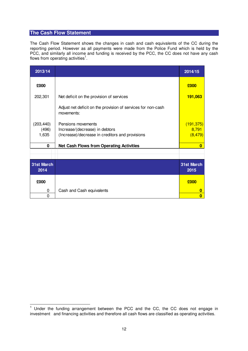# **The Cash Flow Statement**

The Cash Flow Statement shows the changes in cash and cash equivalents of the CC during the reporting period. However as all payments were made from the Police Fund which is held by the PCC, and similarly all income and funding is received by the PCC, the CC does not have any cash flows from operating activities<sup>1</sup>.

| 2013/14                      |                                                                                                         | 2014/15                         |
|------------------------------|---------------------------------------------------------------------------------------------------------|---------------------------------|
| £000                         |                                                                                                         | £000                            |
| 202,301                      | Net deficit on the provision of services                                                                | 191,063                         |
|                              | Adjust net deficit on the provision of services for non-cash<br>movements:                              |                                 |
| (203, 440)<br>(496)<br>1,635 | Pensions movements<br>Increase/(decrease) in debtors<br>(Increase)/decrease in creditors and provisions | (191, 375)<br>8,791<br>(8, 479) |
| 0                            | <b>Net Cash Flows from Operating Activities</b>                                                         | $\bf{0}$                        |
|                              |                                                                                                         |                                 |
| <b>31st March</b><br>2014    |                                                                                                         | 31st March<br>2015              |
| £000                         |                                                                                                         | £000                            |
| 0                            | Cash and Cash equivalents                                                                               | O                               |
| 0                            |                                                                                                         | O                               |

 $\overline{a}$  $1$  Under the funding arrangement between the PCC and the CC, the CC does not engage in investment and financing activities and therefore all cash flows are classified as operating activities.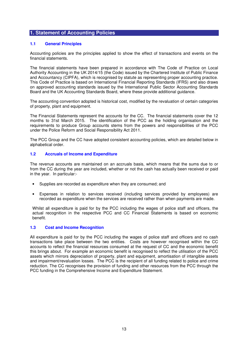## **1.1 General Principles**

Accounting policies are the principles applied to show the effect of transactions and events on the financial statements.

The financial statements have been prepared in accordance with The Code of Practice on Local Authority Accounting in the UK 2014/15 (the Code) issued by the Chartered Institute of Public Finance and Accountancy (CIPFA), which is recognised by statute as representing proper accounting practice. This Code of Practice is based on International Financial Reporting Standards (IFRS) and also draws on approved accounting standards issued by the International Public Sector Accounting Standards Board and the UK Accounting Standards Board, where these provide additional guidance.

The accounting convention adopted is historical cost, modified by the revaluation of certain categories of property, plant and equipment.

The Financial Statements represent the accounts for the CC. The financial statements cover the 12 months to 31st March 2015. The identification of the PCC as the holding organisation and the requirements to produce Group accounts stems from the powers and responsibilities of the PCC under the Police Reform and Social Responsibility Act 2011.

The PCC Group and the CC have adopted consistent accounting policies, which are detailed below in alphabetical order.

## **1.2 Accruals of Income and Expenditure**

The revenue accounts are maintained on an accruals basis, which means that the sums due to or from the CC during the year are included, whether or not the cash has actually been received or paid in the year. In particular:-

- Supplies are recorded as expenditure when they are consumed; and
- Expenses in relation to services received (including services provided by employees) are recorded as expenditure when the services are received rather than when payments are made.

Whilst all expenditure is paid for by the PCC including the wages of police staff and officers, the actual recognition in the respective PCC and CC Financial Statements is based on economic benefit.

## **1.3 Cost and Income Recognition**

All expenditure is paid for by the PCC including the wages of police staff and officers and no cash transactions take place between the two entities. Costs are however recognised within the CC accounts to reflect the financial resources consumed at the request of CC and the economic benefit this brings about. For example an economic benefit is recognised to reflect the utilisation of the PCC assets which mirrors depreciation of property, plant and equipment, amortisation of intangible assets and impairment/revaluation losses. The PCC is the recipient of all funding related to police and crime reduction. The CC recognises the provision of funding and other resources from the PCC through the PCC funding in the Comprehensive Income and Expenditure Statement.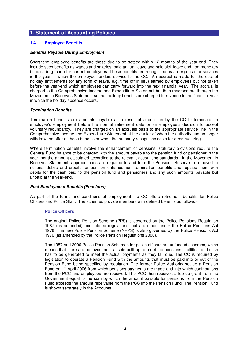## **1.4 Employee Benefits**

#### **Benefits Payable During Employment**

Short-term employee benefits are those due to be settled within 12 months of the year-end. They include such benefits as wages and salaries, paid annual leave and paid sick leave and non-monetary benefits (e.g. cars) for current employees. These benefits are recognised as an expense for services in the year in which the employee renders service to the CC. An accrual is made for the cost of holiday entitlements (or any form of leave, e.g. time off in lieu) earned by employees but not taken before the year-end which employees can carry forward into the next financial year. The accrual is charged to the Comprehensive Income and Expenditure Statement but then reversed out through the Movement in Reserves Statement so that holiday benefits are charged to revenue in the financial year in which the holiday absence occurs.

#### **Termination Benefits**

Termination benefits are amounts payable as a result of a decision by the CC to terminate an employee's employment before the normal retirement date or an employee's decision to accept voluntary redundancy. They are charged on an accruals basis to the appropriate service line in the Comprehensive Income and Expenditure Statement at the earlier of when the authority can no longer withdraw the offer of those benefits or when the authority recognises costs for a restructuring.

Where termination benefits involve the enhancement of pensions, statutory provisions require the General Fund balance to be charged with the amount payable to the pension fund or pensioner in the year, not the amount calculated according to the relevant accounting standards. In the Movement in Reserves Statement, appropriations are required to and from the Pensions Reserve to remove the notional debits and credits for pension enhancement termination benefits and replace them with debits for the cash paid to the pension fund and pensioners and any such amounts payable but unpaid at the year-end.

#### **Post Employment Benefits (Pensions)**

As part of the terms and conditions of employment the CC offers retirement benefits for Police Officers and Police Staff. The schemes provide members with defined benefits as follows:-

#### **Police Officers**

The original Police Pension Scheme (PPS) is governed by the Police Pensions Regulation 1987 (as amended) and related regulations that are made under the Police Pensions Act 1976. The new Police Pension Scheme (NPPS) is also governed by the Police Pensions Act 1976 (as amended by the Police Pension Regulations 2006).

The 1987 and 2006 Police Pension Schemes for police officers are unfunded schemes, which means that there are no investment assets built up to meet the pensions liabilities, and cash has to be generated to meet the actual payments as they fall due. The CC is required by legislation to operate a Pension Fund with the amounts that must be paid into or out of the Pension Fund being specified by regulation. The former Police Authority set up a Pension Fund on  $1<sup>st</sup>$  April 2006 from which pensions payments are made and into which contributions from the PCC and employees are received. The PCC then receives a top-up grant from the Government equal to the sum by which the amount payable for pensions from the Pension Fund exceeds the amount receivable from the PCC into the Pension Fund. The Pension Fund is shown separately in the Accounts.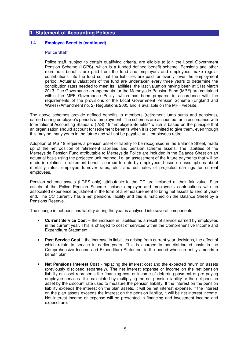## **1.4 Employee Benefits (continued)**

# **Police Staff**

Police staff, subject to certain qualifying criteria, are eligible to join the Local Government Pension Scheme (LGPS), which is a funded defined benefit scheme. Pensions and other retirement benefits are paid from the fund and employers and employees make regular contributions into the fund so that the liabilities are paid for evenly, over the employment period. Actuarial valuations of the fund are undertaken every three years to determine the contribution rates needed to meet its liabilities, the last valuation having been at 31st March 2013. The Governance arrangements for the Merseyside Pension Fund (MPF) are contained within the MPF Governance Policy, which has been prepared in accordance with the requirements of the provisions of the Local Government Pension Scheme (England and Wales) (Amendment no. 2) Regulations 2005 and is available on the MPF website.

The above schemes provide defined benefits to members (retirement lump sums and pensions), earned during employee's periods of employment. The schemes are accounted for in accordance with International Accounting Standard (IAS) 19 "Employee Benefits" which is based on the principle that an organisation should account for retirement benefits when it is committed to give them, even though this may be many years in the future and will not be payable until employees retire.

Adoption of IAS 19 requires a pension asset or liability to be recognised in the Balance Sheet, made up of the net position of retirement liabilities and pension scheme assets. The liabilities of the Merseyside Pension Fund attributable to Merseyside Police are included in the Balance Sheet on an actuarial basis using the projected unit method, i.e. an assessment of the future payments that will be made in relation to retirement benefits earned to date by employees, based on assumptions about mortality rates, employee turnover rates, etc., and estimates of projected earnings for current employees.

Pension scheme assets (LGPS only) attributable to the CC are included at their fair value. Plan assets of the Police Pension Scheme include employer and employee's contributions with an associated experience adjustment in the form of a remeasurement to bring net assets to zero at yearend. The CC currently has a net pensions liability and this is matched on the Balance Sheet by a Pensions Reserve.

The change in net pensions liability during the year is analysed into several components:-

- **Current Service Cost** the increase in liabilities as a result of service earned by employees in the current year. This is charged to cost of services within the Comprehensive Income and Expenditure Statement.
- **Past Service Cost** the increase in liabilities arising from current year decisions, the effect of which relate to service in earlier years. This is charged to non-distributed costs in the Comprehensive Income and Expenditure Statement in the period when an entity amends a benefit plan.
- **Net Pensions Interest Cost** replacing the interest cost and the expected return on assets (previously disclosed separately). The net interest expense or income on the net pension liability or asset represents the financing cost or income of deferring payment or pre paying employee services. It is calculated by multiplying the net pension liability or the net pension asset by the discount rate used to measure the pension liability. If the interest on the pension liability exceeds the interest on the plan assets, it will be net interest expense. If the interest on the plan assets exceeds the interest on the pension liability, it will be net interest income. Net interest income or expense will be presented in financing and investment income and expenditure.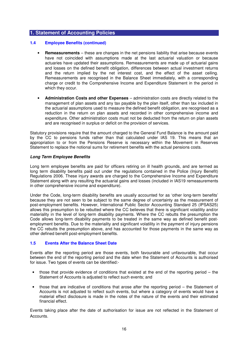## **1.4 Employee Benefits (continued)**

- **Remeasurements** these are changes in the net pensions liability that arise because events have not coincided with assumptions made at the last actuarial valuation or because actuaries have updated their assumptions. Remeasurements are made up of actuarial gains and losses on the defined benefit obligation, differences between actual investment returns and the return implied by the net interest cost, and the effect of the asset ceiling. Remeasurements are recognised in the Balance Sheet immediately, with a corresponding charge or credit to the Comprehensive Income and Expenditure Statement in the period in which they occur.
- **Administration Costs and other Expenses** administration costs are directly related to the management of plan assets and any tax payable by the plan itself, other than tax included in the actuarial assumptions used to measure the defined benefit obligation, are recognised as a reduction in the return on plan assets and recorded in other comprehensive income and expenditure. Other administration costs must not be deducted from the return on plan assets and are recognised in surplus or deficit on the provision of services.

Statutory provisions require that the amount charged to the General Fund Balance is the amount paid by the CC to pensions funds rather than that calculated under IAS 19. This means that an appropriation to or from the Pensions Reserve is necessary within the Movement in Reserves Statement to replace the notional sums for retirement benefits with the actual pensions costs.

#### **Long Term Employee Benefits**

Long term employee benefits are paid for officers retiring on ill health grounds, and are termed as long term disability benefits paid out under the regulations contained in the Police (Injury Benefit) Regulations 2006. These injury awards are charged to the Comprehensive Income and Expenditure Statement along with any resulting the actuarial gains and losses (included in IAS19 remeasurements in other comprehensive income and expenditure).

Under the Code, long-term disability benefits are usually accounted for as 'other long-term benefits' because they are not seen to be subject to the same degree of uncertainty as the measurement of post-employment benefits. However, International Public Sector Accounting Standard 25 (IPSAS25) allows this presumption to be rebutted where the CC believes that there is significant volatility and/or materiality in the level of long-term disability payments. Where the CC rebutts the presumption the Code allows long-term disability payments to be treated in the same way as defined benefit postemployment benefits. Due to the materiality and significant volatility in the payment of injury pensions the CC rebutts the presumption above, and has accounted for those payments in the same way as other defined benefit post-employment benefits.

#### **1.5 Events After the Balance Sheet Date**

Events after the reporting period are those events, both favourable and unfavourable, that occur between the end of the reporting period and the date when the Statement of Accounts is authorised for issue. Two types of events can be identified:-

- those that provide evidence of conditions that existed at the end of the reporting period  $-$  the Statement of Accounts is adjusted to reflect such events; and
- those that are indicative of conditions that arose after the reporting period the Statement of Accounts is not adjusted to reflect such events, but where a category of events would have a material effect disclosure is made in the notes of the nature of the events and their estimated financial effect.

Events taking place after the date of authorisation for issue are not reflected in the Statement of Accounts.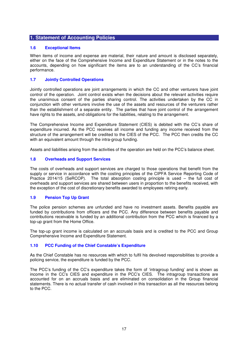# **1.6 Exceptional Items**

When items of income and expense are material, their nature and amount is disclosed separately, either on the face of the Comprehensive Income and Expenditure Statement or in the notes to the accounts, depending on how significant the items are to an understanding of the CC's financial performance.

# **1.7 Jointly Controlled Operations**

Jointly controlled operations are joint arrangements in which the CC and other venturers have joint control of the operation. Joint control exists when the decisions about the relevant activities require the unanimous consent of the parties sharing control. The activities undertaken by the CC in conjunction with other venturers involve the use of the assets and resources of the venturers rather than the establishment of a separate entity. The parties that have joint control of the arrangement have rights to the assets, and obligations for the liabilities, relating to the arrangement.

The Comprehensive Income and Expenditure Statement (CIES) is debited with the CC's share of expenditure incurred. As the PCC receives all income and funding any income received from the structure of the arrangement will be credited to the CIES of the PCC. The PCC then credits the CC with an equivalent amount through the intra-group funding.

Assets and liabilities arising from the activities of the operation are held on the PCC's balance sheet.

# **1.8 Overheads and Support Services**

The costs of overheads and support services are charged to those operations that benefit from the supply or service in accordance with the costing principles of the CIPFA Service Reporting Code of Practice 2014/15 (SeRCOP). The total absorption costing principle is used – the full cost of overheads and support services are shared between users in proportion to the benefits received, with the exception of the cost of discretionary benefits awarded to employees retiring early.

## **1.9 Pension Top Up Grant**

The police pension schemes are unfunded and have no investment assets. Benefits payable are funded by contributions from officers and the PCC. Any difference between benefits payable and contributions receivable is funded by an additional contribution from the PCC which is financed by a top-up grant from the Home Office.

The top-up grant income is calculated on an accruals basis and is credited to the PCC and Group Comprehensive Income and Expenditure Statement.

## **1.10 PCC Funding of the Chief Constable's Expenditure**

As the Chief Constable has no resources with which to fulfil his devolved responsibilities to provide a policing service, the expenditure is funded by the PCC.

The PCC's funding of the CC's expenditure takes the form of 'intragroup funding' and is shown as income in the CC's CIES and expenditure in the PCC's CIES. The intragroup transactions are accounted for on an accruals basis and are eliminated on consolidation in the Group financial statements. There is no actual transfer of cash involved in this transaction as all the resources belong to the PCC.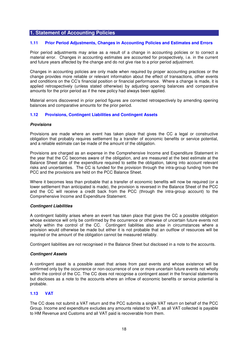#### **1.11 Prior Period Adjustments, Changes in Accounting Policies and Estimates and Errors**

Prior period adjustments may arise as a result of a change in accounting policies or to correct a material error. Changes in accounting estimates are accounted for prospectively, i.e. in the current and future years affected by the change and do not give rise to a prior period adjustment.

Changes in accounting policies are only made when required by proper accounting practices or the change provides more reliable or relevant information about the effect of transactions, other events and conditions on the CC's financial position or financial performance. Where a change is made, it is applied retrospectively (unless stated otherwise) by adjusting opening balances and comparative amounts for the prior period as if the new policy had always been applied.

Material errors discovered in prior period figures are corrected retrospectively by amending opening balances and comparative amounts for the prior period.

#### **1.12 Provisions, Contingent Liabilities and Contingent Assets**

#### **Provisions**

Provisions are made where an event has taken place that gives the CC a legal or constructive obligation that probably requires settlement by a transfer of economic benefits or service potential, and a reliable estimate can be made of the amount of the obligation.

Provisions are charged as an expense in the Comprehensive Income and Expenditure Statement in the year that the CC becomes aware of the obligation, and are measured at the best estimate at the Balance Sheet date of the expenditure required to settle the obligation, taking into account relevant risks and uncertainties. The CC is funded for the provision through the intra-group funding from the PCC and the provisions are held on the PCC Balance Sheet.

Where it becomes less than probable that a transfer of economic benefits will now be required (or a lower settlement than anticipated is made), the provision is reversed in the Balance Sheet of the PCC and the CC will receive a credit back from the PCC (through the intra-group account) to the Comprehensive Income and Expenditure Statement.

#### **Contingent Liabilities**

A contingent liability arises where an event has taken place that gives the CC a possible obligation whose existence will only be confirmed by the occurrence or otherwise of uncertain future events not wholly within the control of the CC. Contingent liabilities also arise in circumstances where a provision would otherwise be made but either it is not probable that an outflow of resources will be required or the amount of the obligation cannot be measured reliably.

Contingent liabilities are not recognised in the Balance Sheet but disclosed in a note to the accounts.

#### **Contingent Assets**

A contingent asset is a possible asset that arises from past events and whose existence will be confirmed only by the occurrence or non-occurrence of one or more uncertain future events not wholly within the control of the CC. The CC does not recognise a contingent asset in the financial statements but discloses as a note to the accounts where an inflow of economic benefits or service potential is probable.

#### **1.13 VAT**

The CC does not submit a VAT return and the PCC submits a single VAT return on behalf of the PCC Group. Income and expenditure excludes any amounts related to VAT, as all VAT collected is payable to HM Revenue and Customs and all VAT paid is recoverable from them.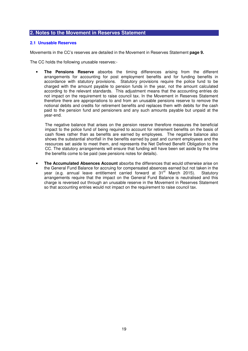# **2. Notes to the Movement in Reserves Statement**

### **2.1 Unusable Reserves**

Movements in the CC's reserves are detailed in the Movement in Reserves Statement **page 9.**

The CC holds the following unusable reserves:-

• **The Pensions Reserve** absorbs the timing differences arising from the different arrangements for accounting for post employment benefits and for funding benefits in accordance with statutory provisions. Statutory provisions require the police fund to be charged with the amount payable to pension funds in the year, not the amount calculated according to the relevant standards. This adjustment means that the accounting entries do not impact on the requirement to raise council tax. In the Movement in Reserves Statement therefore there are appropriations to and from an unusable pensions reserve to remove the notional debits and credits for retirement benefits and replaces them with debits for the cash paid to the pension fund and pensioners and any such amounts payable but unpaid at the year-end.

The negative balance that arises on the pension reserve therefore measures the beneficial impact to the police fund of being required to account for retirement benefits on the basis of cash flows rather than as benefits are earned by employees. The negative balance also shows the substantial shortfall in the benefits earned by past and current employees and the resources set aside to meet them, and represents the Net Defined Benefit Obligation to the CC. The statutory arrangements will ensure that funding will have been set aside by the time the benefits come to be paid (see pensions notes for details).

• **The Accumulated Absences Account** absorbs the differences that would otherwise arise on the General Fund Balance for accruing for compensated absences earned but not taken in the year (e.g. annual leave entitlement carried forward at 31<sup>st</sup> March 2015). Statutory arrangements require that the impact on the General Fund Balance is neutralised and this charge is reversed out through an unusable reserve in the Movement in Reserves Statement so that accounting entries would not impact on the requirement to raise council tax.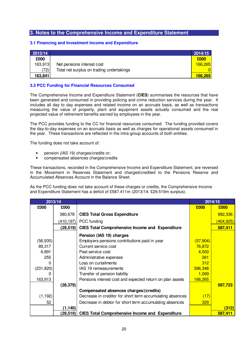#### **3.1 Financing and Investment Income and Expenditure**

| 2013/14 |                                           | 2014/15 |
|---------|-------------------------------------------|---------|
| £000    |                                           | £000    |
| 163,913 | Net pensions interest cost                | 166,265 |
| 72)     | Total net surplus on trading undertakings |         |
| 163,841 |                                           | 166,265 |

# **3.2 PCC Funding for Financial Resources Consumed**

The Comprehensive Income and Expenditure Statement (**CIES**) summarises the resources that have been generated and consumed in providing policing and crime reduction services during the year. It includes all day to day expenses and related income on an accruals basis, as well as transactions measuring the value of property, plant and equipment assets actually consumed and the real projected value of retirement benefits earned by employees in the year.

The PCC provides funding to the CC for financial resources consumed. The funding provided covers the day-to-day expenses on an accruals basis as well as charges for operational assets consumed in the year. These transactions are reflected in the intra-group accounts of both entities.

The funding does not take account of:

- pension (IAS 19) charges/credits or;
- compensated absences charges/credits

These transactions, recorded in the Comprehensive Income and Expenditure Statement, are reversed in the Movement in Reserves Statement and charged/credited to the Pensions Reserve and Accumulated Absences Account in the Balance Sheet.

As the PCC funding does not take account of these charges or credits, the Comprehensive Income and Expenditure Statement has a deficit of £587.411m (2013/14: £29.519m surplus).

| 2013/14    |            |                                                           |                 | $201\overline{4}/15$ |
|------------|------------|-----------------------------------------------------------|-----------------|----------------------|
| £000       | £000       |                                                           | £000            | £000                 |
|            | 380,678    | <b>CIES Total Gross Expenditure</b>                       |                 | 992,336              |
|            | (410, 197) | PCC funding                                               |                 | <u>(404,925)</u>     |
|            | (29, 519)  | <b>CIES Total Comprehensive Income and Expenditure</b>    |                 | 587,411              |
|            |            | Pension (IAS 19) charges                                  |                 |                      |
| (56, 935)  |            | Employers pensions contributions paid in year             | <u>(57,904)</u> |                      |
| 89,317     |            | Current service cost                                      | 76,872          |                      |
| 6,891      |            | Past service cost                                         | 4,500           |                      |
| 255        |            | Administrative expenses                                   | 261             |                      |
| 0          |            | Loss on curtailments                                      | 312             |                      |
| (231, 820) |            | IAS 19 remeasurements                                     | 396,348         |                      |
| O)         |            | Transfer of pension liability                             | 1,069           |                      |
| 163,913    |            | Pensions interest cost and expected return on plan assets | 166,265         |                      |
|            | (28, 379)  |                                                           |                 | 587,723              |
|            |            | Compensated absences charges/(credits)                    |                 |                      |
| (1, 192)   |            | Decrease in creditor for short term accumulating absences | (17)            |                      |
| 52         |            | Decrease in debtor for short term accumulating absences   | 329             |                      |
|            | (1, 140)   |                                                           |                 | (312)                |
|            | (29,519)   | <b>CIES Total Comprehensive Income and Expenditure</b>    |                 | 587,411              |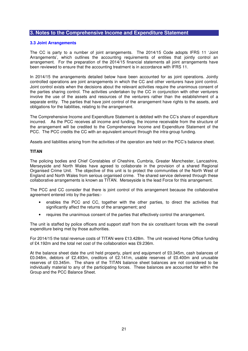#### **3.3 Joint Arrangements**

The CC is party to a number of joint arrangements. The 2014/15 Code adopts IFRS 11 'Joint Arrangements', which outlines the accounting requirements of entities that jointly control an arrangement. For the preparation of the 2014/15 financial statements all joint arrangements have been reviewed to ensure that the accounting treatment is in accordance with IFRS 11.

In 2014/15 the arrangements detailed below have been accounted for as joint operations. Jointly controlled operations are joint arrangements in which the CC and other venturers have joint control. Joint control exists when the decisions about the relevant activities require the unanimous consent of the parties sharing control. The activities undertaken by the CC in conjunction with other venturers involve the use of the assets and resources of the venturers rather than the establishment of a separate entity. The parties that have joint control of the arrangement have rights to the assets, and obligations for the liabilities, relating to the arrangement.

The Comprehensive Income and Expenditure Statement is debited with the CC's share of expenditure incurred. As the PCC receives all income and funding, the income receivable from the structure of the arrangement will be credited to the Comprehensive Income and Expenditure Statement of the PCC. The PCC credits the CC with an equivalent amount through the intra-group funding.

Assets and liabilities arising from the activities of the operation are held on the PCC's balance sheet.

## **TITAN**

The policing bodies and Chief Constables of Cheshire, Cumbria, Greater Manchester, Lancashire, Merseyside and North Wales have agreed to collaborate in the provision of a shared Regional Organised Crime Unit. The objective of this unit is to protect the communities of the North West of England and North Wales from serious organised crime. The shared service delivered through these collaborative arrangements is known as TITAN. Merseyside is the lead Force for this arrangement.

The PCC and CC consider that there is joint control of this arrangement because the collaborative agreement entered into by the parties:-

- enables the PCC and CC, together with the other parties, to direct the activities that significantly affect the returns of the arrangement; and
- requires the unanimous consent of the parties that effectively control the arrangement.

The unit is staffed by police officers and support staff from the six constituent forces with the overall expenditure being met by those authorities.

For 2014/15 the total revenue costs of TITAN were £13.428m. The unit received Home Office funding of £4.192m and the total net cost of the collaboration was £9.236m.

At the balance sheet date the unit held property, plant and equipment of £0.345m, cash balances of £0.048m, debtors of £2.493m, creditors of £2.141m, usable reserves of £0.400m and unusable reserves of £0.345m. The share of the TITAN balance sheet balances are not considered to be individually material to any of the participating forces. These balances are accounted for within the Group and the PCC Balance Sheet.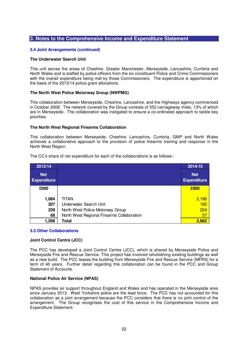### **3.4 Joint Arrangements (continued)**

## **The Underwater Search Unit**

This unit serves the areas of Cheshire, Greater Manchester, Merseyside, Lancashire, Cumbria and North Wales and is staffed by police officers from the six constituent Police and Crime Commissioners with the overall expenditure being met by those Commissioners. The expenditure is apportioned on the basis of the 2013/14 police grant allocations.

#### **The North West Police Motorway Group (NWPMG)**

This collaboration between Merseyside, Cheshire, Lancashire, and the Highways agency commenced in October 2008. The network covered by the Group consists of 552 carriageway miles, 13% of which are in Merseyside. The collaboration was instigated to ensure a co-ordinated approach to tackle key priorities.

#### **The North West Regional Firearms Collaboration**

This collaboration between Merseyside, Cheshire, Lancashire, Cumbria, GMP and North Wales achieves a collaborative approach to the provision of police firearms training and response in the North West Region.

| 2013/14                          |                                            | 2014/15                          |
|----------------------------------|--------------------------------------------|----------------------------------|
| <b>Net</b><br><b>Expenditure</b> |                                            | <b>Net</b><br><b>Expenditure</b> |
| £000                             |                                            | £000                             |
|                                  |                                            |                                  |
| 1,084                            | titan                                      | 2,196                            |
| 207                              | Underwater Search Unit                     | 185                              |
| 239                              | North West Police Motorway Group           | 224                              |
| 68                               | North West Regional Firearms Collaboration | 57                               |
| 1,598                            | Total                                      | 2,662                            |

The CC's share of net expenditure for each of the collaborations is as follows:-

#### **3.5 Other Collaborations**

#### **Joint Control Centre (JCC)**

The PCC has developed a Joint Control Centre (JCC), which is shared by Merseyside Police and Merseyside Fire and Rescue Service. This project has involved refurbishing existing buildings as well as a new build. The PCC leases the building from Merseyside Fire and Rescue Service (MFRS) for a term of 40 years. Further detail regarding this collaboration can be found in the PCC and Group Statement of Accounts.

#### **National Police Air Service (NPAS)**

NPAS provides air support throughout England and Wales and has operated in the Merseyside area since January 2013. West Yorkshire police are the lead force. The PCC has not accounted for this collaboration as a joint arrangement because the PCC considers that there is no joint control of the arrangement. The Group recognises the cost of this service in the Comprehensive Income and Expenditure Statement.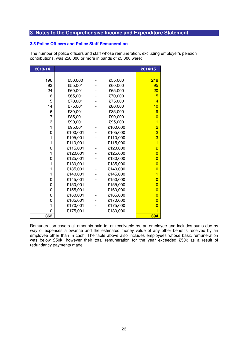## **3.5 Police Officers and Police Staff Remuneration**

The number of police officers and staff whose remuneration, excluding employer's pension contributions, was £50,000 or more in bands of £5,000 were:

| 2013/14 |          |          | 2014/15                 |
|---------|----------|----------|-------------------------|
|         |          |          |                         |
| 196     | £50,000  | £55,000  | 218                     |
| 93      | £55,001  | £60,000  | 95                      |
| 24      | £60,001  | £65,000  | 20                      |
| 6       | £65,001  | £70,000  | 15                      |
| 5       | £70,001  | £75,000  | 4                       |
| 14      | £75,001  | £80,000  | 10                      |
| 6       | £80,001  | £85,000  | 9                       |
| 7       | £85,001  | £90,000  | 10                      |
| 3       | £90,001  | £95,000  | 1                       |
| 1       | £95,001  | £100,000 | $\overline{2}$          |
| 0       | £100,001 | £105,000 | $\overline{2}$          |
| 1       | £105,001 | £110,000 | 3                       |
| 1       | £110,001 | £115,000 | $\overline{1}$          |
| 0       | £115,001 | £120,000 | $\overline{2}$          |
| 1       | £120,001 | £125,000 | $\overline{0}$          |
| 0       | £125,001 | £130,000 | $\overline{0}$          |
| 1       | £130,001 | £135,000 | $\overline{0}$          |
| 1       | £135,001 | £140,000 | $\overline{0}$          |
| 1       | £140,001 | £145,000 | 1                       |
| 0       | £145,001 | £150,000 | $\overline{0}$          |
| 0       | £150,001 | £155,000 | $\overline{0}$          |
| 0       | £155,001 | £160,000 | $\overline{0}$          |
| 0       | £160,001 | £165,000 | $\overline{0}$          |
| 0       | £165,001 | £170,000 | $\overline{0}$          |
| 1       | £170,001 | £175,000 | $\overline{0}$          |
| 0       | £175,001 | £180,000 | $\overline{\mathbf{1}}$ |
| 362     |          |          | 394                     |

Remuneration covers all amounts paid to, or receivable by, an employee and includes sums due by way of expenses allowance and the estimated money value of any other benefits received by an employee other than in cash. The table above also includes employees whose basic remuneration was below £50k; however their total remuneration for the year exceeded £50k as a result of redundancy payments made.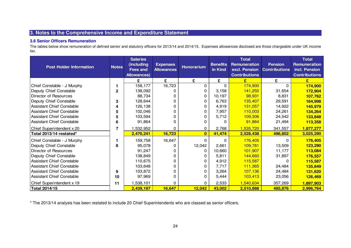# **3.6 Senior Officers Remuneration**

 The tables below show remuneration of defined senior and statutory officers for 2013/14 and 2014/15. Expenses allowances disclosed are those chargeable under UK income tax.

| <b>Post Holder Information</b>   | <b>Notes</b>   | <b>Salaries</b><br>(including<br><b>Fees and</b><br><b>Allowances)</b> | <b>Expenses</b><br><b>Allowances</b> | <b>Honorarium</b> | <b>Benefits</b><br>in Kind | <b>Total</b><br>Remuneration<br>excl. Pension<br><b>Contributions</b> | <b>Pension</b><br><b>Contributions</b> | <b>Total</b><br><b>Remuneration</b><br>incl. Pension<br><b>Contributions</b> |
|----------------------------------|----------------|------------------------------------------------------------------------|--------------------------------------|-------------------|----------------------------|-----------------------------------------------------------------------|----------------------------------------|------------------------------------------------------------------------------|
|                                  |                | £                                                                      | £                                    | £                 | £                          | E                                                                     | £                                      | E                                                                            |
| Chief Constable - J Murphy       | 1              | 158,177                                                                | 16,723                               | 0                 | $\Omega$                   | 174,900                                                               | 0                                      | 174,900                                                                      |
| Deputy Chief Constable           | $\overline{2}$ | 138,092                                                                |                                      | 0                 | 3,158                      | 141,250                                                               | 31,654                                 | 172,904                                                                      |
| Director of Resources            |                | 88,734                                                                 |                                      | $\Omega$          | 10,197                     | 98,931                                                                | 8,831                                  | 107,762                                                                      |
| Deputy Chief Constable           | 3              | 128,644                                                                |                                      | 0                 | 6,763                      | 135,407                                                               | 29,591                                 | 164,998                                                                      |
| <b>Assistant Chief Constable</b> | 4              | 126,138                                                                |                                      | 0                 | 4,919                      | 131,057                                                               | 14,922                                 | 145,979                                                                      |
| <b>Assistant Chief Constable</b> | 5              | 102,046                                                                |                                      | 0                 | 7,957                      | 110,003                                                               | 24,261                                 | 134,264                                                                      |
| <b>Assistant Chief Constable</b> | 5              | 103,594                                                                |                                      | 0                 | 5,712                      | 109,306                                                               | 24,542                                 | 133,848                                                                      |
| Assistant Chief Constable        | 6              | 91,864                                                                 |                                      | 0                 | 0                          | 91,864                                                                | 21,494                                 | 113,358                                                                      |
| Chief Superintendent x 20        | 7              | 1,532,952                                                              | 0                                    | 0                 | 2,768                      | 1,535,720                                                             | 341,557                                | 1,877,277                                                                    |
| Total 2013/14 restated*          |                | 2,470,241                                                              | 16,723                               | $\bf{0}$          | 41,474                     | 2,528,438                                                             | 496,852                                | 3,025,290                                                                    |
| Chief Constable - J Murphy       |                | 159,758                                                                | 16,647                               | $\Omega$          | $\Omega$                   | 176,405                                                               | <sup>0</sup>                           | 176,405                                                                      |
| Deputy Chief Constable           | 8              | 95,078                                                                 |                                      | 12,042            | 2,661                      | 109,781                                                               | 13,509                                 | 123,290                                                                      |
| Director of Resources            |                | 91,247                                                                 |                                      | <sup>0</sup>      | 10,660                     | 101,907                                                               | 11,177                                 | 113,084                                                                      |
| Deputy Chief Constable           |                | 138,849                                                                |                                      | 0                 | 5,811                      | 144,660                                                               | 31,897                                 | 176,557                                                                      |
| <b>Assistant Chief Constable</b> |                | 110,675                                                                |                                      | 0                 | 4,912                      | 115,587                                                               | 0                                      | 115,587                                                                      |
| <b>Assistant Chief Constable</b> |                | 103,648                                                                |                                      | 0                 | 7,717                      | 111,365                                                               | 24,484                                 | 135,849                                                                      |
| <b>Assistant Chief Constable</b> | 9              | 103,872                                                                |                                      | 0                 | 3,264                      | 107,136                                                               | 24,484                                 | 131,620                                                                      |
| <b>Assistant Chief Constable</b> | 10             | 97,969                                                                 |                                      | 0                 | 5,444                      | 103,413                                                               | 23,056                                 | 126,469                                                                      |
| Chief Superintendent x 19        | 11             | 1,538,101                                                              | 0                                    | $\Omega$          | 2,533                      | 1,540,634                                                             | 357,269                                | 1,897,903                                                                    |
| Total 2014/15                    |                | 2,439,197                                                              | 16,647                               | 12,042            | 43,002                     | 2,510,888                                                             | 485,876                                | 2,996,764                                                                    |

\* The 2013/14 analysis has been restated to include 20 Chief Superintendents who are classed as senior officers.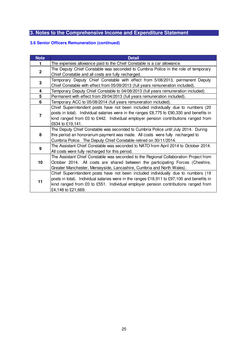# **3.6 Senior Officers Remuneration (continued)**

| <b>Note</b>    | <b>Detail</b>                                                                              |
|----------------|--------------------------------------------------------------------------------------------|
| 1              | The expenses allowance paid to the Chief Constable is a car allowance.                     |
| $\overline{2}$ | The Deputy Chief Constable was seconded to Cumbria Police in the role of temporary         |
|                | Chief Constable and all costs are fully recharged.                                         |
| 3              | Temporary Deputy Chief Constable with effect from 5/08/2013, permanent Deputy              |
|                | Chief Constable with effect from 05/09/2013 (full years remuneration included).            |
| 4              | Temporary Deputy Chief Constable to 04/08/2013 (full years remuneration included).         |
| 5              | Permanent with effect from 29/04/2013 (full years remuneration included).                  |
| 6              | Temporary ACC to 05/08/2014 (full years remuneration included).                            |
|                | Chief Superintendent posts have not been included individually due to numbers (20          |
| $\overline{7}$ | posts in total). Individual salaries were in the ranges £8,775 to £90,330 and benefits in  |
|                | kind ranged from £0 to £442. Individual employer pension contributions ranged from         |
|                | £634 to £19,141.                                                                           |
|                | The Deputy Chief Constable was seconded to Cumbria Police until July 2014. During          |
| 8              | this period an honorarium payment was made. All costs were fully recharged to              |
|                | Cumbria Police. The Deputy Chief Constable retired on 30/11/2014.                          |
| 9              | The Assistant Chief Constable was seconded to NATO from April 2014 to October 2014.        |
|                | All costs were fully recharged for this period.                                            |
|                | The Assistant Chief Constable was seconded to the Regional Collaboration Project from      |
| 10             | October 2014. All costs are shared between the participating Forces (Cheshire,             |
|                | Greater Manchester, Merseyside, Lancashire, Cumbria and North Wales).                      |
|                | Chief Superintendent posts have not been included individually due to numbers (19          |
|                | posts in total). Individual salaries were in the ranges £18,911 to £97,100 and benefits in |
| 11             | kind ranged from £0 to £551. Individual employer pension contributions ranged from         |
|                | £4,148 to £21,669.                                                                         |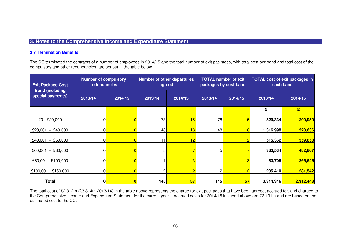#### **3.7 Termination Benefits**

The CC terminated the contracts of a number of employees in 2014/15 and the total number of exit packages, with total cost per band and total cost of thecompulsory and other redundancies, are set out in the table below.

| <b>Exit Package Cost</b>                     | <b>Number of compulsory</b><br>redundancies |         |     | Number of other departures<br>agreed | <b>TOTAL number of exit</b><br>packages by cost band |                    | <b>TOTAL cost of exit packages in</b><br>each band |           |  |
|----------------------------------------------|---------------------------------------------|---------|-----|--------------------------------------|------------------------------------------------------|--------------------|----------------------------------------------------|-----------|--|
| <b>Band (including)</b><br>special payments) | 2013/14                                     | 2014/15 |     | 2013/14<br>2014/15                   |                                                      | 2013/14<br>2014/15 |                                                    | 2014/15   |  |
|                                              |                                             |         |     |                                      |                                                      |                    | £                                                  | £         |  |
| £0 - £20,000                                 |                                             | 0       | 78  | 15                                   | 78                                                   | 15                 | 829,334                                            | 200,959   |  |
| $-$ £40,000<br>£20,001                       |                                             |         | 48  | 18                                   | 48                                                   | 18                 | 1,316,998                                          | 520,636   |  |
| $-$ £60,000<br>£40,001                       |                                             |         | 11  | 12                                   | 11                                                   | 12                 | 515,362                                            | 559,858   |  |
| £60,001<br>$-$ £80,000                       | 0                                           |         | 51  |                                      | 5                                                    |                    | 333,534                                            | 482,807   |  |
| £80,001 - £100,000                           |                                             | 0       |     | 3                                    |                                                      | 3                  | 83,708                                             | 266,646   |  |
|                                              |                                             |         |     |                                      |                                                      |                    |                                                    |           |  |
| £100,001 - £150,000                          |                                             |         |     |                                      | 2                                                    | 2                  | 235,410                                            | 281,542   |  |
| <b>Total</b>                                 | 0                                           | 0       | 145 | 57                                   | 145                                                  | 57                 | 3,314,346                                          | 2,312,448 |  |

The total cost of £2.312m (£3.314m 2013/14) in the table above represents the charge for exit packages that have been agreed, accrued for, and charged to the Comprehensive Income and Expenditure Statement for the current year. Accrued costs for 2014/15 included above are £2.191m and are based on the estimated cost to the CC.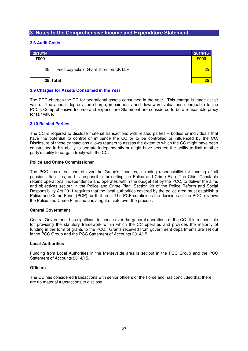### **3.8 Audit Costs**

| 2013/14 |                                       | 2014/15 |
|---------|---------------------------------------|---------|
| £000    |                                       | £000    |
| 25      | Fees payable to Grant Thornton UK LLP | 25      |
|         | 25 Total                              | 25      |

#### **3.9 Charges for Assets Consumed in the Year**

The PCC charges the CC for operational assets consumed in the year. This charge is made at fair value. The annual depreciation charge, impairments and downward valuations chargeable to the PCC's Comprehensive Income and Expenditure Statement are considered to be a reasonable proxy for fair value.

#### **3.10 Related Parties**

The CC is required to disclose material transactions with related parties – bodies or individuals that have the potential to control or influence the CC or to be controlled or influenced by the CC. Disclosure of these transactions allows readers to assess the extent to which the CC might have been constrained in his ability to operate independently or might have secured the ability to limit another party's ability to bargain freely with the CC.

#### **Police and Crime Commissioner**

The PCC has direct control over the Group's finances, including responsibility for funding of all pensions' liabilities, and is responsible for setting the Police and Crime Plan. The Chief Constable retains operational independence and operates within the budget set by the PCC, to deliver the aims and objectives set out in the Police and Crime Plan. Section 28 of the Police Reform and Social Responsibility Act 2011 requires that the local authorities covered by the police area must establish a Police and Crime Panel (PCP) for that area. The PCP scrutinises the decisions of the PCC, reviews the Police and Crime Plan and has a right of veto over the precept.

#### **Central Government**

Central Government has significant influence over the general operations of the CC. It is responsible for providing the statutory framework within which the CC operates and provides the majority of funding in the form of grants to the PCC. Grants received from government departments are set out in the PCC Group and the PCC Statement of Accounts 2014/15.

#### **Local Authorities**

Funding from Local Authorities in the Merseyside area is set out in the PCC Group and the PCC Statement of Accounts 2014/15.

#### **Officers**

The CC has considered transactions with senior officers of the Force and has concluded that there are no material transactions to disclose.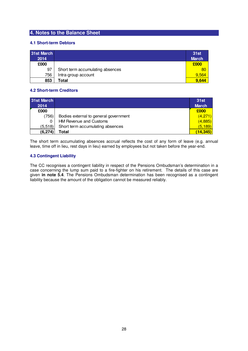# **4. Notes to the Balance Sheet**

# **4.1 Short-term Debtors**

| 31st March<br>2014 |                                  | <b>31st</b><br><b>March</b> |
|--------------------|----------------------------------|-----------------------------|
| £000               |                                  | £000                        |
| 97                 | Short term accumulating absences | 80                          |
| 756                | Intra-group account              | 9.564                       |
| 853                | Total                            | 9.644                       |

# **4.2 Short-term Creditors**

| 31st March<br>2014 |                                       | <b>31st</b><br><b>March</b> |
|--------------------|---------------------------------------|-----------------------------|
| £000               |                                       | £000                        |
| (756)              | Bodies external to general government | (4,271)                     |
|                    | <b>HM Revenue and Customs</b>         | (4,885)                     |
| (5,518)            | Short term accumulating absences      | (5, 189)                    |
| (6, 274)           | Total                                 | (14,345)                    |

The short term accumulating absences accrual reflects the cost of any form of leave (e.g. annual leave, time off in lieu, rest days in lieu) earned by employees but not taken before the year-end.

# **4.3 Contingent Liability**

The CC recognises a contingent liability in respect of the Pensions Ombudsman's determination in a case concerning the lump sum paid to a fire-fighter on his retirement. The details of this case are given **in note 5.4**. The Pensions Ombudsman determination has been recognised as a contingent liability because the amount of the obligation cannot be measured reliably.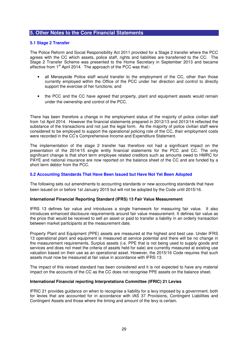#### **5.1 Stage 2 Transfer**

The Police Reform and Social Responsibility Act 2011 provided for a Stage 2 transfer where the PCC agrees with the CC which assets, police staff, rights and liabilities are transferred to the CC. The Stage 2 Transfer Scheme was presented to the Home Secretary in September 2013 and became effective from 1<sup>st</sup> April 2014. The approach of the PCC was that:-

- all Merseyside Police staff would transfer to the employment of the CC, other than those currently employed within the Office of the PCC under her direction and control to directly support the exercise of her functions; and
- the PCC and the CC have agreed that property, plant and equipment assets would remain under the ownership and control of the PCC.

There has been therefore a change in the employment status of the majority of police civilian staff from 1st April 2014. However the financial statements prepared in 2012/13 and 2013/14 reflected the substance of the transactions and not just the legal form. As the majority of police civilian staff were considered to be employed to support the operational policing role of the CC, their employment costs were recorded in the CC's Comprehensive Income and Expenditure Statement.

The implementation of the stage 2 transfer has therefore not had a significant impact on the presentation of the 2014/15 single entity financial statements for the PCC and CC. The only significant change is that short term employee related creditors such as amounts owed to HMRC for PAYE and national insurance are now reported on the balance sheet of the CC and are funded by a short term debtor from the PCC.

## **5.2 Accounting Standards That Have Been Issued but Have Not Yet Been Adopted**

The following sets out amendments to accounting standards or new accounting standards that have been issued on or before 1st January 2015 but will not be adopted by the Code until 2015/16.

#### **International Financial Reporting Standard (IFRS) 13 Fair Value Measurement**

IFRS 13 defines fair value and introduces a single framework for measuring fair value. It also introduces enhanced disclosure requirements around fair value measurement. It defines fair value as the price that would be received to sell an asset or paid to transfer a liability in an orderly transaction between market participants at the measurement date.

Property Plant and Equipment (PPE) assets are measured at the highest and best use. Under IFRS 13 operational plant and equipment is measured at service potential and there will be no change in the measurement requirements. Surplus assets (i.e. PPE that is not being used to supply goods and services and does not meet the criteria of assets held for sale) are currently measured at existing use valuation based on their use as an operational asset. However, the 2015/16 Code requires that such assets must now be measured at fair value in accordance with IFRS 13.

The impact of this revised standard has been considered and it is not expected to have any material impact on the accounts of the CC as the CC does not recognise PPE assets on the balance sheet.

#### **International Financial reporting Interpretations Committee (IFRIC) 21 Levies**

IFRIC 21 provides guidance on when to recognise a liability for a levy imposed by a government, both for levies that are accounted for in accordance with IAS 37 Provisions, Contingent Liabilities and Contingent Assets and those where the timing and amount of the levy is certain.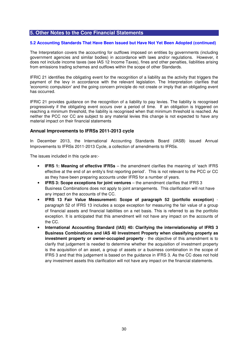#### **5.2 Accounting Standards That Have Been Issued but Have Not Yet Been Adopted (continued)**

The Interpretation covers the accounting for outflows imposed on entities by governments (including government agencies and similar bodies) in accordance with laws and/or regulations. However, it does not include income taxes (see IAS 12 Income Taxes), fines and other penalties, liabilities arising from emissions trading schemes and outflows within the scope of other Standards.

IFRIC 21 identifies the obligating event for the recognition of a liability as the activity that triggers the payment of the levy in accordance with the relevant legislation. The Interpretation clarifies that 'economic compulsion' and the going concern principle do not create or imply that an obligating event has occurred.

IFRIC 21 provides guidance on the recognition of a liability to pay levies. The liability is recognised progressively if the obligating event occurs over a period of time. If an obligation is triggered on reaching a minimum threshold, the liability is recognised when that minimum threshold is reached. As neither the PCC nor CC are subject to any material levies this change is not expected to have any material impact on their financial statements

## **Annual Improvements to IFRSs 2011-2013 cycle**

In December 2013, the International Accounting Standards Board (IASB) issued Annual Improvements to IFRSs 2011-2013 Cycle, a collection of amendments to IFRSs.

The issues included in this cycle are:-

- **IFRS 1: Meaning of effective IFRSs** the amendment clarifies the meaning of 'each IFRS effective at the end of an entity's first reporting period'. This is not relevant to the PCC or CC as they have been preparing accounts under IFRS for a number of years.
- **IFRS 3: Scope exceptions for joint ventures** the amendment clarifies that IFRS 3 Business Combinations does not apply to joint arrangements. This clarification will not have any impact on the accounts of the CC.
- **IFRS 13 Fair Value Measurement: Scope of paragraph 52 (portfolio exception)**  paragraph 52 of IFRS 13 includes a scope exception for measuring the fair value of a group of financial assets and financial liabilities on a net basis. This is referred to as the portfolio exception. It is anticipated that this amendment will not have any impact on the accounts of the CC.
- **International Accounting Standard (IAS) 40: Clarifying the interrelationship of IFRS 3 Business Combinations and IAS 40 Investment Property when classifying property as investment property or owner-occupied property** - the objective of this amendment is to clarify that judgement is needed to determine whether the acquisition of investment property is the acquisition of an asset, a group of assets or a business combination in the scope of IFRS 3 and that this judgement is based on the guidance in IFRS 3. As the CC does not hold any investment assets this clarification will not have any impact on the financial statements.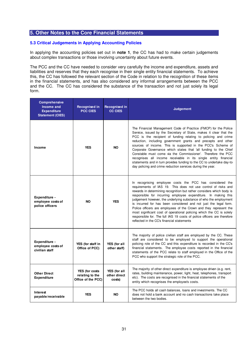### **5.3 Critical Judgements in Applying Accounting Policies**

In applying the accounting policies set out in **note 1**, the CC has had to make certain judgements about complex transactions or those involving uncertainty about future events.

The PCC and the CC have needed to consider very carefully the income and expenditure, assets and liabilities and reserves that they each recognise in their single entity financial statements. To achieve this, the CC has followed the relevant section of the Code in relation to the recognition of these items in the financial statements, and has also considered any informal arrangements between the PCC and the CC. The CC has considered the substance of the transaction and not just solely its legal form.

| <b>Comprehensive</b><br>Income and<br><b>Expenditure</b><br><b>Statement (CIES)</b> | Recognised in<br><b>PCC CIES</b>                        | Recognised in<br><b>CC CIES</b>        | <b>Judgement</b>                                                                                                                                                                                                                                                                                                                                                                                                                                                                                                                                                                                                                                                                       |
|-------------------------------------------------------------------------------------|---------------------------------------------------------|----------------------------------------|----------------------------------------------------------------------------------------------------------------------------------------------------------------------------------------------------------------------------------------------------------------------------------------------------------------------------------------------------------------------------------------------------------------------------------------------------------------------------------------------------------------------------------------------------------------------------------------------------------------------------------------------------------------------------------------|
| Income                                                                              | <b>YES</b>                                              | <b>NO</b>                              | The Financial Management Code of Practice (FMCP) for the Police<br>Service, issued by the Secretary of State, makes it clear that the<br>PCC is the recipient of funding relating to policing and crime<br>reduction, including government grants and precepts and other<br>sources of income. This is supported in the PCC's Scheme of<br>Corporate Governance which states that 'all funding to the Chief<br>Constable must come via the Commissioner'. Therefore the PCC<br>recognises all income receivable in its single entity financial<br>statements and in turn provides funding to the CC to undertake day-to-<br>day policing and crime reduction services during the year. |
| Expenditure -<br>employee costs of<br>police officers                               | <b>NO</b>                                               | <b>YES</b>                             | In recognising employee costs the PCC has considered the<br>requirements of IAS 19. This does not use control of risks and<br>rewards in determining recognition but rather considers which body is<br>responsible for incurring employee expenditure. In making this<br>judgement however, the underlying substance of who the employment<br>is incurred for has been considered and not just the legal form.<br>Police officers are employees of the Crown and they represent the<br>most significant cost of operational policing which the CC is solely<br>responsible for. The full IAS 19 costs of police officers are therefore<br>reflected in the CC's financial statements   |
| Expenditure -<br>employee costs of<br>civilian staff                                | YES (for staff in<br>Office of PCC)                     | YES (for all<br>other staff)           | The majority of police civilian staff are employed by the CC. These<br>staff are considered to be employed to support the operational<br>policing role of the CC and this expenditure is recorded in the CC's<br>financial statements. The employee costs reported in the financial<br>statements of the PCC relate to staff employed in the Office of the<br>PCC who support the strategic role of the PCC.                                                                                                                                                                                                                                                                           |
| <b>Other Direct</b><br><b>Expenditure</b>                                           | YES (for costs<br>relating to the<br>Office of the PCC) | YES (for all<br>other direct<br>costs) | The majority of other direct expenditure is employee driven (e.g. rent,<br>rates, building maintenance, power, light, heat, telephones, transport<br>etc). The costs are recognised in the financial statements of the<br>entity which recognises the employee's costs.                                                                                                                                                                                                                                                                                                                                                                                                                |
| Interest<br>payable/receivable                                                      | <b>YES</b>                                              | <b>NO</b>                              | The PCC holds all cash balances, loans and investments. The CC<br>does not hold a bank account and no cash transactions take place<br>between the two bodies.                                                                                                                                                                                                                                                                                                                                                                                                                                                                                                                          |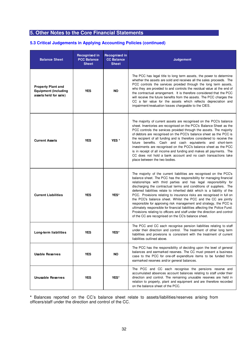# **5.3 Critical Judgements in Applying Accounting Policies (continued)**

| <b>Balance Sheet</b>                                                              | Recognised in<br><b>PCC Balance</b><br><b>Sheet</b> | Recognised in<br><b>CC Balance</b><br><b>Sheet</b> | Judgement                                                                                                                                                                                                                                                                                                                                                                                                                                                                                                                                                                                                                                                                                                                                                                                               |
|-----------------------------------------------------------------------------------|-----------------------------------------------------|----------------------------------------------------|---------------------------------------------------------------------------------------------------------------------------------------------------------------------------------------------------------------------------------------------------------------------------------------------------------------------------------------------------------------------------------------------------------------------------------------------------------------------------------------------------------------------------------------------------------------------------------------------------------------------------------------------------------------------------------------------------------------------------------------------------------------------------------------------------------|
| <b>Property Plant and</b><br><b>Equipment (including</b><br>assets held for sale) | <b>YES</b>                                          | <b>NO</b>                                          | The PCC has legal title to long term assets, the power to determine<br>whether the assets are sold and receives all the sales proceeds. The<br>PCC controls the services provided through the long term assets,<br>who they are provided to and controls the residual value at the end of<br>the contractual arrangement. It is therefore considered that the PCC<br>will receive the future benefits from the assets. The PCC charges the<br>CC a fair value for the assets which reflects depreciation and<br>impairment/revaluation losses chargeable to the CIES.                                                                                                                                                                                                                                   |
| <b>Current Assets</b>                                                             | <b>YES</b>                                          | YES <sup>*</sup>                                   | The majority of current assets are recognised on the PCC's balance<br>sheet. Inventories are recognised on the PCC's Balance Sheet as the<br>PCC controls the services provided through the assets. The majority<br>of debtors are recognised on the PCC's balance sheet as the PCC is<br>the recipient of all funding and is therefore considered to receive the<br>future benefits. Cash and cash equivalents and short-term<br>investments are recognised on the PCC's balance sheet as the PCC<br>is in receipt of all income and funding and makes all payments. The<br>CC does not hold a bank account and no cash transactions take<br>place between the two bodies.                                                                                                                             |
| <b>Current Liabilities</b><br><b>YES</b><br>YES*                                  |                                                     |                                                    | The majority of the current liabilities are recognised on the PCC's<br>balance sheet. The PCC has the responsibility for managing financial<br>relationships with third parties and has legal responsibility for<br>discharging the contractual terms and conditions of suppliers. The<br>deferred liabilities relate to inherited debt which is a liability of the<br>PCC. Provisions relating to insurance risks are recognised in full on<br>the PCC's balance sheet. Whilst the PCC and the CC are jointly<br>responsible for approving risk management and strategy, the PCC is<br>ultimately responsible for financial liabilities affecting the Police Fund.<br>Provisions relating to officers and staff under the direction and control<br>of the CC are recognised on the CC's balance sheet. |
| Long-term liabilities                                                             | <b>YES</b>                                          | YES*                                               | The PCC and CC each recognise pension liabilities relating to staff<br>under their direction and control. The treatment of other long term<br>liabilities and provisions is consistent with the treatment of current<br>liabilities outlined above.                                                                                                                                                                                                                                                                                                                                                                                                                                                                                                                                                     |
| <b>Usable Reserves</b>                                                            | YES                                                 | <b>NO</b>                                          | The PCC has the responsibility of deciding upon the level of general<br>balances and earmarked reserves. The CC must present a business<br>case to the PCC for one-off expenditure items to be funded from<br>earmarked reserves and/or general balances.                                                                                                                                                                                                                                                                                                                                                                                                                                                                                                                                               |
| <b>Unusable Reserves</b>                                                          | <b>YES</b>                                          | YES*                                               | The PCC and CC each recognise the pensions reserve and<br>accumulated absences account balances relating to staff under their<br>direction and control. The remaining unusable reserves are held in<br>relation to property, plant and equipment and are therefore recorded<br>on the balance sheet of the PCC.                                                                                                                                                                                                                                                                                                                                                                                                                                                                                         |

**\*** Balances reported on the CC's balance sheet relate to assets/liabilities/reserves arising from officers/staff under the direction and control of the CC.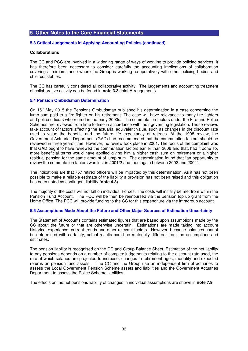### **5.3 Critical Judgements in Applying Accounting Policies (continued)**

#### **Collaborations**

The CC and PCC are involved in a widening range of ways of working to provide policing services. It has therefore been necessary to consider carefully the accounting implications of collaboration covering all circumstance where the Group is working co-operatively with other policing bodies and chief constables.

The CC has carefully considered all collaborative activity. The judgements and accounting treatment of collaborative activity can be found in **note 3.3** Joint Arrangements.

#### **5.4 Pension Ombudsman Determination**

On 15<sup>th</sup> May 2015 the Pensions Ombudsman published his determination in a case concerning the lump sum paid to a fire-fighter on his retirement. The case will have relevance to many fire-fighters and police officers who retired in the early 2000s. The commutation factors under the Fire and Police Schemes are reviewed from time to time in accordance with their governing legislation. These reviews take account of factors affecting the actuarial equivalent value, such as changes in the discount rate used to value the benefits and the future life expectancy of retirees. At the 1998 review, the Government Actuaries Department (GAD) had recommended that the commutation factors should be reviewed in three years' time. However, no review took place in 2001. The focus of the complaint was that GAD ought to have reviewed the commutation factors earlier than 2006 and that, had it done so, more beneficial terms would have applied giving him a higher cash sum on retirement or a higher residual pension for the same amount of lump sum. The determination found that "an opportunity to review the commutation factors was lost in 2001/2 and then again between 2002 and 2004".

The indications are that 757 retired officers will be impacted by this determination. As it has not been possible to make a reliable estimate of the liability a provision has not been raised and this obligation has been noted as contingent liability (**note 4.3**).

The majority of the costs will not fall on individual Forces. The costs will initially be met from within the Pension Fund Account. The PCC will be then be reimbursed via the pension top up grant from the Home Office. The PCC will provide funding to the CC for this expenditure via the intragroup account.

## **5.5 Assumptions Made About the Future and Other Major Sources of Estimation Uncertainty**

The Statement of Accounts contains estimated figures that are based upon assumptions made by the CC about the future or that are otherwise uncertain. Estimations are made taking into account historical experience, current trends and other relevant factors. However, because balances cannot be determined with certainty, actual results could be materially different from the assumptions and estimates.

The pension liability is recognised on the CC and Group Balance Sheet. Estimation of the net liability to pay pensions depends on a number of complex judgements relating to the discount rate used, the rate at which salaries are projected to increase, changes in retirement ages, mortality and expected returns on pension fund assets. The CC and the Group use an independent firm of actuaries to assess the Local Government Pension Scheme assets and liabilities and the Government Actuaries Department to assess the Police Scheme liabilities.

The effects on the net pensions liability of changes in individual assumptions are shown in **note 7.9**.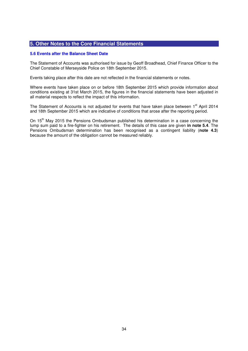#### **5.6 Events after the Balance Sheet Date**

The Statement of Accounts was authorised for issue by Geoff Broadhead, Chief Finance Officer to the Chief Constable of Merseyside Police on 18th September 2015.

Events taking place after this date are not reflected in the financial statements or notes.

Where events have taken place on or before 18th September 2015 which provide information about conditions existing at 31st March 2015, the figures in the financial statements have been adjusted in all material respects to reflect the impact of this information.

The Statement of Accounts is not adjusted for events that have taken place between 1<sup>st</sup> April 2014 and 18th September 2015 which are indicative of conditions that arose after the reporting period.

On 15<sup>th</sup> May 2015 the Pensions Ombudsman published his determination in a case concerning the lump sum paid to a fire-fighter on his retirement. The details of this case are given **in note 5.4**. The Pensions Ombudsman determination has been recognised as a contingent liability (**note 4.3**) because the amount of the obligation cannot be measured reliably.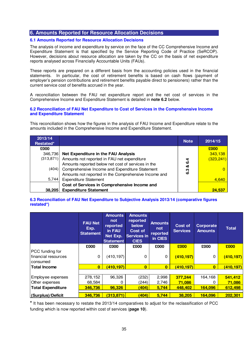# **6. Amounts Reported for Resource Allocation Decisions**

# **6.1 Amounts Reported for Resource Allocation Decisions**

The analysis of income and expenditure by service on the face of the CC Comprehensive Income and Expenditure Statement is that specified by the Service Reporting Code of Practice (SeRCOP). However, decisions about resource allocation are taken by the CC on the basis of net expenditure reports analysed across Financially Accountable Units (FAUs).

These reports are prepared on a different basis from the accounting policies used in the financial statements. In particular, the cost of retirement benefits is based on cash flows (payment of employer's pension contributions and retirement benefits payable direct to pensioners) rather than the current service cost of benefits accrued in the year.

A reconciliation between the FAU net expenditure report and the net cost of services in the Comprehensive Income and Expenditure Statement is detailed in **note 6.2** below.

#### **6.2 Reconciliation of FAU Net Expenditure to Cost of Services in the Comprehensive Income and Expenditure Statement**

This reconciliation shows how the figures in the analysis of FAU Income and Expenditure relate to the amounts included in the Comprehensive Income and Expenditure Statement.

| 2013/14<br>Restated* |                                                      | <b>Note</b> | 2014/15    |
|----------------------|------------------------------------------------------|-------------|------------|
| £000                 |                                                      |             | £000       |
| 346,736              | Net Expenditure in the FAU Analysis                  |             | 343,138    |
| (313, 871)           | Amounts not reported in FAU net expenditure          | 4           | (323, 241) |
|                      | Amounts reported below net cost of services in the   | ဖ<br>య      |            |
|                      | (404) Comprehensive Income and Expenditure Statement | <u>යි</u>   |            |
|                      | Amounts not reported in the Comprehensive Income and |             |            |
| 5,744                | <b>Expenditure Statement</b>                         |             | 4,640      |
|                      | Cost of Services in Comprehensive Income and         |             |            |
| 38.205               | <b>Expenditure Statement</b>                         |             | 24,537     |

## **6.3 Reconciliation of FAU Net Expenditure to Subjective Analysis 2013/14 (comparative figures restated\*)**

|                                                    | <b>FAU Net</b><br>Exp.<br><b>Statement</b> | <b>Amounts</b><br>not<br>reported<br>in FAU<br>Net Exp.<br><b>Statement</b> | <b>Amounts</b><br>reported<br>below<br>Cost of<br><b>Services in</b><br><b>CIES</b> | <b>Amounts</b><br>not<br>reported<br>in CIES | Cost of<br><b>Services</b> | Corporate<br><b>Amounts</b> | <b>Total</b> |  |
|----------------------------------------------------|--------------------------------------------|-----------------------------------------------------------------------------|-------------------------------------------------------------------------------------|----------------------------------------------|----------------------------|-----------------------------|--------------|--|
|                                                    | £000                                       | £000                                                                        | £000                                                                                | £000                                         | £000                       | £000                        | £000         |  |
| PCC funding for<br>financial resources<br>consumed | 0                                          | (410, 197)                                                                  | $\Omega$                                                                            | 0                                            | (410, 197)                 | 0                           | (410, 197)   |  |
| <b>Total Income</b>                                | $\mathbf{0}$                               | (410, 197)                                                                  | $\mathbf{0}$                                                                        | $\mathbf{0}$                                 | (410,197)                  | $\mathbf{0}$                | (410, 197)   |  |
|                                                    |                                            |                                                                             |                                                                                     |                                              |                            |                             |              |  |
| Employee expenses                                  | 278,152                                    | 96,326                                                                      | (232)                                                                               | 2,998                                        | 377,244                    | 164,168                     | 541,412      |  |
| Other expenses                                     | 68,584                                     | 0                                                                           | (244)                                                                               | 2,746                                        | 71,086                     | $\Omega$                    | 71,086       |  |
| <b>Total Expenditure</b>                           | 346,736                                    | 96,326                                                                      | (404)                                                                               | 5,744                                        | 448,402                    | 164,096                     | 612,498      |  |
| (Surplus)/Deficit                                  | 346,736                                    | (313, 871)                                                                  | (404)                                                                               | 5,744                                        | 38,205                     | 164,096                     | 202,301      |  |

**\*** It has been necessary to restate the 2013/14 comparatives to adjust for the reclassification of PCC funding which is now reported within cost of services (**page 10**).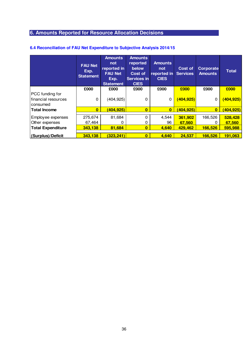# **6. Amounts Reported for Resource Allocation Decisions**

|                                                                 | <b>FAU Net</b><br>Exp.<br><b>Statement</b> | <b>Amounts</b><br>not<br>reported in<br><b>FAU Net</b><br>Exp.<br><b>Statement</b> | <b>Amounts</b><br>reported<br>below<br><b>Cost of</b><br><b>Services in</b><br><b>CIES</b> | <b>Amounts</b><br>not<br>reported in<br><b>CIES</b> | Cost of<br><b>Services</b>   | Corporate<br><b>Amounts</b> | <b>Total</b>                 |
|-----------------------------------------------------------------|--------------------------------------------|------------------------------------------------------------------------------------|--------------------------------------------------------------------------------------------|-----------------------------------------------------|------------------------------|-----------------------------|------------------------------|
|                                                                 | £000                                       | £000                                                                               | £000                                                                                       | £000                                                | £000                         | £000                        | £000                         |
| PCC funding for<br>financial resources<br>consumed              | 0                                          | (404, 925)                                                                         | $\Omega$                                                                                   | 0                                                   | (404, 925)                   | 0                           | (404, 925)                   |
| <b>Total Income</b>                                             | $\mathbf{0}$                               | <u>(404,925)</u>                                                                   | $\bf{0}$                                                                                   | $\bf{0}$                                            | <u>(404,925)</u>             | $\mathbf{0}$                | (404, 925)                   |
| Employee expenses<br>Other expenses<br><b>Total Expenditure</b> | 275,674<br>67,464<br>343,138               | 81,684<br>0<br>81,684                                                              | 0<br>0<br>$\bf{0}$                                                                         | 4,544<br>96<br>4,640                                | 361,902<br>67,560<br>429,462 | 166,526<br>166,526          | 528,428<br>67,560<br>595,988 |
| (Surplus)/Deficit                                               | 343,138                                    | (323, 241)                                                                         | $\bf{0}$                                                                                   | 4,640                                               | 24,537                       | 166,526                     | 191,063                      |

# **6.4 Reconciliation of FAU Net Expenditure to Subjective Analysis 2014/15**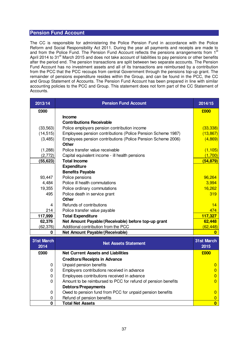# **Pension Fund Account**

The CC is responsible for administering the Police Pension Fund in accordance with the Police Reform and Social Responsibility Act 2011. During the year all payments and receipts are made to and from the Police Fund. The Pension Fund Account reflects the pensions arrangements from 1<sup>st</sup> April 2014 to 31<sup>st</sup> March 2015 and does not take account of liabilities to pay pensions or other benefits after the period end. The pension transactions are split between two separate accounts. The Pension Fund Account has no investment assets and all of its transactions are reimbursed by a contribution from the PCC that the PCC recoups from central Government through the pensions top-up grant. The remainder of pensions expenditure resides within the Group, and can be found in the PCC, the CC and Group Statement of Accounts. The Pension Fund Account has been prepared in line with similar accounting policies to the PCC and Group. This statement does not form part of the CC Statement of Accounts.

| 2013/14           | <b>Pension Fund Account</b>                                   | 2014/15                 |
|-------------------|---------------------------------------------------------------|-------------------------|
| £000              |                                                               | £000                    |
|                   | <b>Income</b>                                                 |                         |
|                   | <b>Contributions Receivable</b>                               |                         |
| (33, 563)         | Police employers pension contribution income                  | (33, 338)               |
| (14, 515)         | Employees pension contributions (Police Pension Scheme 1987)  | (13, 867)               |
| (3,485)           | Employees pension contributions (Police Pension Scheme 2006)  | (4,869)                 |
|                   | <b>Other</b>                                                  |                         |
| (1,288)           | Police transfer value receivable                              | (1, 105)                |
| (2, 772)          | Capital equivalent income - ill health pensions               | (1,700)                 |
| (55, 623)         | <b>Total Income</b>                                           | (54, 879)               |
|                   | <b>Expenditure</b>                                            |                         |
|                   | <b>Benefits Payable</b>                                       |                         |
| 93,447            | Police pensions                                               | 96,264                  |
| 4,484             | Police ill health commutations                                | 3,994                   |
| 19,355            | Police ordinary commutations                                  | 16,262                  |
| 495               | Police death in service grant                                 | 319                     |
|                   | <b>Other</b>                                                  |                         |
| 4                 | Refunds of contributions                                      | 14                      |
| 214               | Police transfer value payable                                 | 474                     |
| 117,999           | <b>Total Expenditure</b>                                      | 117,327                 |
| 62,376            | Net Amount Payable/(Receivable) before top-up grant           | 62,448                  |
| (62, 376)         | Additional contribution from the PCC                          | (62, 448)               |
| $\bf{0}$          | Net Amount Payable/(Receivable)                               | $\bf{0}$                |
| <b>31st March</b> | <b>Net Assets Statement</b>                                   | 31st March              |
| 2014              |                                                               | 2015                    |
| £000              | <b>Net Current Assets and Liabilities</b>                     | £000                    |
|                   | <b>Creditors/Receipts in Advance</b>                          |                         |
| 0                 | Unpaid pension benefits                                       | 0                       |
| 0                 | Employers contributions received in advance                   | $\mathbf{0}$            |
| 0                 | Employees contributions received in advance                   | 0                       |
| 0                 | Amount to be reimbursed to PCC for refund of pension benefits | $\Omega$                |
|                   | <b>Debtors/Prepayments</b>                                    |                         |
| $\mathbf 0$       | Owed to pension fund from PCC for unpaid pension benefits     | $\mathbf{0}$            |
| 0                 | Refund of pension benefits                                    | 0                       |
| $\mathbf 0$       | <b>Total Net Assets</b>                                       | $\overline{\mathbf{0}}$ |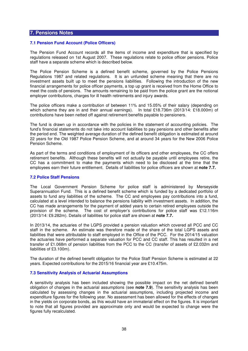#### **7.1 Pension Fund Account (Police Officers)**

The Pension Fund Account records all the items of income and expenditure that is specified by regulations released on 1st August 2007. These regulations relate to police officer pensions. Police staff have a separate scheme which is described below.

The Police Pension Scheme is a defined benefit scheme, governed by the Police Pensions Regulations 1987 and related regulations. It is an unfunded scheme meaning that there are no investment assets built up to meet the pensions liabilities. Following the introduction of the new financial arrangements for police officer payments, a top up grant is received from the Home Office to meet the costs of pensions. The amounts remaining to be paid from the police grant are the notional employer contributions, charges for ill health retirements and injury awards.

The police officers make a contribution of between 11% and 15.05% of their salary (depending on which scheme they are in and their annual earnings). In total £18.736m (2013/14: £18.000m) of contributions have been netted off against retirement benefits payable to pensioners.

The fund is drawn up in accordance with the policies in the statement of accounting policies. The fund's financial statements do not take into account liabilities to pay pensions and other benefits after the period end. The weighted average duration of the defined benefit obligation is estimated at around 22 years for the Old 1987 Police Pension Scheme, and at around 34 years for the New 2006 Police Pension Scheme.

As part of the terms and conditions of employment of its officers and other employees, the CC offers retirement benefits. Although these benefits will not actually be payable until employees retire, the CC has a commitment to make the payments which need to be disclosed at the time that the employees earn their future entitlement. Details of liabilities for police officers are shown at **note 7.7.** 

#### **7.2 Police Staff Pensions**

The Local Government Pension Scheme for police staff is administered by Merseyside Superannuation Fund. This is a defined benefit scheme which is funded by a dedicated portfolio of assets to fund any liabilities of the scheme. The CC and employees pay contributions into a fund, calculated at a level intended to balance the pensions liability with investment assets. In addition, the CC has made arrangements for the payment of added years to certain retired employees outside the provision of the scheme. The cost of employer's contributions for police staff was £12.116m (2013/14: £9.282m). Details of liabilities for police staff are shown at **note 7.7.** 

In 2013/14, the actuaries of the LGPS provided a pension valuation which covered all PCC and CC staff in the scheme. An estimate was therefore made of the share of the total LGPS assets and liabilities that were attributable to staff employed in the Office of the PCC. For the 2014/15 valuation the actuaries have performed a separate valuation for PCC and CC staff. This has resulted in a net transfer of £1.068m of pension liabilities from the PCC to the CC (transfer of assets of £2.032m and liabilities of £3.100m).

The duration of the defined benefit obligation for the Police Staff Pension Scheme is estimated at 22 years. Expected contributions for the 2015/16 financial year are £10.475m.

#### **7.3 Sensitivity Analysis of Actuarial Assumptions**

A sensitivity analysis has been included showing the possible impact on the net defined benefit obligation of changes in the actuarial assumptions (see **note 7.9**). The sensitivity analysis has been calculated by assessing changes in the actuarial assumptions, including projected income and expenditure figures for the following year. No assessment has been allowed for the effects of changes in the yields on corporate bonds, as this would have an immaterial effect on the figures. It is important to note that all figures provided are approximate only and would be expected to change were the figures fully recalculated.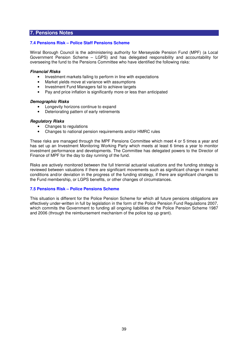### **7.4 Pensions Risk – Police Staff Pensions Scheme**

Wirral Borough Council is the administering authority for Merseyside Pension Fund (MPF) (a Local Government Pension Scheme – LGPS) and has delegated responsibility and accountability for overseeing the fund to the Pensions Committee who have identified the following risks:

#### **Financial Risks**

- Investment markets failing to perform in line with expectations
- Market yields move at variance with assumptions
- Investment Fund Managers fail to achieve targets
- Pay and price inflation is significantly more or less than anticipated

#### **Demographic Risks**

- Longevity horizons continue to expand
- Deteriorating pattern of early retirements

#### **Regulatory Risks**

- Changes to regulations
- Changes to national pension requirements and/or HMRC rules

These risks are managed through the MPF Pensions Committee which meet 4 or 5 times a year and has set up an Investment Monitoring Working Party which meets at least 6 times a year to monitor investment performance and developments. The Committee has delegated powers to the Director of Finance of MPF for the day to day running of the fund.

Risks are actively monitored between the full triennial actuarial valuations and the funding strategy is reviewed between valuations if there are significant movements such as significant change in market conditions and/or deviation in the progress of the funding strategy, if there are significant changes to the Fund membership, or LGPS benefits, or other changes of circumstances.

## **7.5 Pensions Risk – Police Pensions Scheme**

This situation is different for the Police Pension Scheme for which all future pensions obligations are effectively under-written in full by legislation in the form of the Police Pension Fund Regulations 2007, which commits the Government to funding all ongoing liabilities of the Police Pension Scheme 1987 and 2006 (through the reimbursement mechanism of the police top up grant).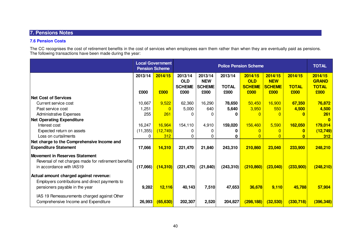# **7.6 Pension Costs**

The CC recognises the cost of retirement benefits in the cost of services when employees earn them rather than when they are eventually paid as pensions. The following transactions have been made during the year:

|                                                      |           | <b>Local Government</b><br><b>Pension Scheme</b> | <b>Police Pension Scheme</b>           |                                        |                         |                                        |                                        | <b>TOTAL</b>            |                                         |
|------------------------------------------------------|-----------|--------------------------------------------------|----------------------------------------|----------------------------------------|-------------------------|----------------------------------------|----------------------------------------|-------------------------|-----------------------------------------|
|                                                      | 2013/14   | 2014/15                                          | 2013/14<br><b>OLD</b><br><b>SCHEME</b> | 2013/14<br><b>NEW</b><br><b>SCHEME</b> | 2013/14<br><b>TOTAL</b> | 2014/15<br><b>OLD</b><br><b>SCHEME</b> | 2014/15<br><b>NEW</b><br><b>SCHEME</b> | 2014/15<br><b>TOTAL</b> | 2014/15<br><b>GRAND</b><br><b>TOTAL</b> |
|                                                      | £000      | £000                                             | £000                                   | £000                                   | £000                    | £000                                   | £000                                   | £000                    | £000                                    |
| <b>Net Cost of Services</b>                          |           |                                                  |                                        |                                        |                         |                                        |                                        |                         |                                         |
| Current service cost                                 | 10,667    | 9,522                                            | 62,360                                 | 16,290                                 | 78,650                  | 50,450                                 | 16,900                                 | 67,350                  | 76,872                                  |
| Past service cost                                    | 1,251     |                                                  | 5,000                                  | 640                                    | 5,640                   | 3,950                                  | 550                                    | 4,500                   | 4,500                                   |
| <b>Administrative Expenses</b>                       | 255       | 261                                              | 0                                      | 0                                      | ŋ                       |                                        |                                        |                         | 261                                     |
| <b>Net Operating Expenditure</b>                     |           |                                                  |                                        |                                        |                         |                                        |                                        |                         | $\mathbf{0}$                            |
| Interest cost                                        | 16,247    | 16,964                                           | 154,110                                | 4,910                                  | 159,020                 | 156,460                                | 5,590                                  | 162,050                 | 179,014                                 |
| Expected return on assets                            | (11, 355) | (12, 749)                                        | $\Omega$                               | 0                                      | 0                       |                                        |                                        |                         | (12, 749)                               |
| Loss on curtailments                                 | 0         | 312                                              | 0                                      |                                        | 0                       |                                        |                                        |                         | 312                                     |
| Net charge to the Comprehensive Income and           |           |                                                  |                                        |                                        |                         |                                        |                                        |                         |                                         |
| <b>Expenditure Statement</b>                         | 17,066    | 14,310                                           | 221,470                                | 21,840                                 | 243,310                 | 210,860                                | 23,040                                 | 233,900                 | 248,210                                 |
| Movement in Reserves Statement                       |           |                                                  |                                        |                                        |                         |                                        |                                        |                         |                                         |
| Reversal of net charges made for retirement benefits |           |                                                  |                                        |                                        |                         |                                        |                                        |                         |                                         |
| in accordance with IAS19                             | (17,066)  | (14, 310)                                        | (221, 470)                             | (21, 840)                              | (243, 310)              | (210, 860)                             | (23,040)                               | (233,900)               | (248, 210)                              |
| Actual amount charged against revenue:               |           |                                                  |                                        |                                        |                         |                                        |                                        |                         |                                         |
| Employers contributions and direct payments to       |           |                                                  |                                        |                                        |                         |                                        |                                        |                         |                                         |
| pensioners payable in the year                       | 9,282     | <b>12,116</b>                                    | 40,143                                 | 7,510                                  | 47,653                  | 36,678                                 | 9,110                                  | 45,788                  | 57,904                                  |
|                                                      |           |                                                  |                                        |                                        |                         |                                        |                                        |                         |                                         |
| IAS 19 Remeasurements charged against Other          |           |                                                  |                                        |                                        |                         |                                        |                                        |                         |                                         |
| Comprehensive Income and Expenditure                 | 26,993    | (65, 630)                                        | 202,307                                | 2,520                                  | 204,827                 | (298, 188)                             | (32,530)                               | (330, 718)              | (396, 348)                              |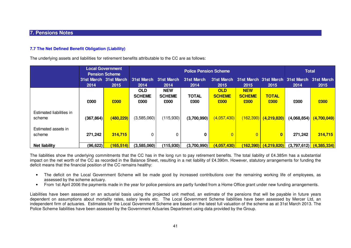### **7.7 The Net Defined Benefit Obligation (Liability)**

The underlying assets and liabilities for retirement benefits attributable to the CC are as follows:

|                                    |            | <b>Local Government</b><br><b>Pension Scheme</b> |                                     |                                     | <b>Total</b>         |                                     |                                     |                           |                                                     |             |
|------------------------------------|------------|--------------------------------------------------|-------------------------------------|-------------------------------------|----------------------|-------------------------------------|-------------------------------------|---------------------------|-----------------------------------------------------|-------------|
|                                    | 2014       | 31st March 31st March<br>2015                    | 31st March<br>2014                  | 31st March<br>2014                  | 31st March<br>2014   | 31st March<br>2015                  | 2015                                | 2015                      | 31st March 31st March 31st March 31st March<br>2014 | 2015        |
|                                    | £000       | £000                                             | <b>OLD</b><br><b>SCHEME</b><br>£000 | <b>NEW</b><br><b>SCHEME</b><br>£000 | <b>TOTAL</b><br>£000 | <b>OLD</b><br><b>SCHEME</b><br>£000 | <b>NEW</b><br><b>SCHEME</b><br>£000 | <b>TOTAL</b><br>£000      | £000                                                | £000        |
| Estimated liabilities in<br>scheme | (367, 864) | (480, 229)                                       | (3,585,060)                         | (115,930)                           | (3,700,990)          | (4,057,430)                         |                                     | $(162,390)$ $(4,219,820)$ | (4,068,854)                                         | (4,700,049) |
| Estimated assets in<br>scheme      | 271,242    | 314,715                                          |                                     | 0                                   | 0                    | $\overline{0}$                      | $\overline{0}$                      | $\mathbf{0}$              | 271,242                                             | 314,715     |
| <b>Net liability</b>               | (96, 622)  | (165, 514)                                       | (3,585,060)                         | (115,930)                           | (3,700,990)          | (4,057,430)                         |                                     | (162,390) (4,219,820)     | (3,797,612)                                         | (4,385,334) |

The liabilities show the underlying commitments that the CC has in the long run to pay retirement benefits. The total liability of £4.385m has a substantial impact on the net worth of the CC as recorded in the Balance Sheet, resulting in a net liability of £4.390m. However, statutory arrangements for funding the deficit means that the financial position of the CC remains healthy:

- The deficit on the Local Government Scheme will be made good by increased contributions over the remaining working life of employees, as assessed by the scheme actuary.
- From 1st April 2006 the payments made in the year for police pensions are partly funded from a Home Office grant under new funding arrangements.

Liabilities have been assessed on an actuarial basis using the projected unit method, an estimate of the pensions that will be payable in future years dependent on assumptions about mortality rates, salary levels etc. The Local Government Scheme liabilities have been assessed by Mercer Ltd, an independent firm of actuaries. Estimates for the Local Government Scheme are based on the latest full valuation of the scheme as at 31st March 2013. ThePolice Scheme liabilities have been assessed by the Government Actuaries Department using data provided by the Group.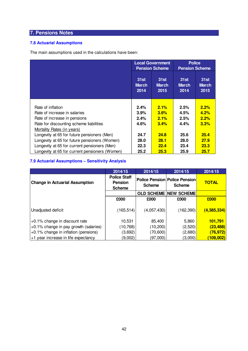# **7.8 Actuarial Assumptions**

The main assumptions used in the calculations have been:

|                                                |                              | <b>Local Government</b><br><b>Pension Scheme</b> | <b>Police</b><br><b>Pension Scheme</b> |                              |  |
|------------------------------------------------|------------------------------|--------------------------------------------------|----------------------------------------|------------------------------|--|
|                                                | 31st<br><b>March</b><br>2014 | 31st<br><b>March</b><br>2015                     | 31st<br><b>March</b><br>2014           | 31st<br><b>March</b><br>2015 |  |
|                                                |                              |                                                  |                                        |                              |  |
| Rate of inflation                              | 2.4%                         | 2.1%                                             | 2.5%                                   | 2.2%                         |  |
| Rate of increase in salaries                   | 3.9%                         | 3.6%                                             | 4.5%                                   | 4.2%                         |  |
| Rate of increase in pensions                   | 2.4%                         | 2.1%                                             | 2.5%                                   | 2.2%                         |  |
| Rate for discounting scheme liabilities        | 4.6%                         | 3.4%                                             | 4.4%                                   | 3.3%                         |  |
| <b>Mortality Rates (in years)</b>              |                              |                                                  |                                        |                              |  |
| Longevity at 65 for future pensioners (Men)    | 24.7                         | 24.8                                             | 25.6                                   | 25.4                         |  |
| Longevity at 65 for future pensioners (Women)  | 28.0                         | 28.1                                             | 28.0                                   | 27.9                         |  |
| Longevity at 65 for current pensioners (Men)   | 22.3                         | 22.4                                             | 23.4                                   | 23.3                         |  |
| Longevity at 65 for current pensioners (Women) | 25.2                         | 25.3                                             | 25.9                                   | 25.7                         |  |

# **7.9 Actuarial Assumptions – Sensitivity Analysis**

|                                       | 2014/15                                                | 2014/15       | 2014/15                                               | 2014/15       |
|---------------------------------------|--------------------------------------------------------|---------------|-------------------------------------------------------|---------------|
| <b>Change in Actuarial Assumption</b> | <b>Police Staff</b><br><b>Pension</b><br><b>Scheme</b> | <b>Scheme</b> | <b>Police Pension Police Pension</b><br><b>Scheme</b> | <b>TOTAL</b>  |
|                                       |                                                        |               | <b>OLD SCHEME NEW SCHEME</b>                          |               |
|                                       | £000                                                   | £000          | £000                                                  | £000          |
| Unadjusted deficit                    | (165, 514)                                             | (4,057,430)   | (162, 390)                                            | (4, 385, 334) |
| +0.1% change in discount rate         | 10,531                                                 | 85,400        | 5,860                                                 | 101,791       |
| +0.1% change in pay growth (salaries) | (10, 768)                                              | (10,200)      | (2,520)                                               | (23, 488)     |
| +0.1% change in inflation (pensions)  | (3,692)                                                | (70, 600)     | (2,680)                                               | (76, 972)     |
| +1 year increase in life expectancy   | (9,002)                                                | (97,000)      | (3,000)                                               | (109, 002)    |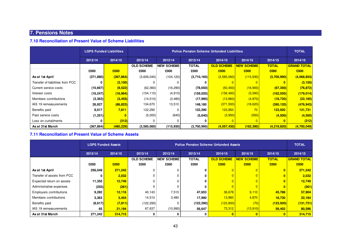# **7.10 Reconciliation of Present Value of Scheme Liabilities**

|                                  | <b>LGPS Funded Liabilities</b> |            |                   |                    | <b>Police Pension Scheme Unfunded Liabilities</b> |                   |                   |               |                    |
|----------------------------------|--------------------------------|------------|-------------------|--------------------|---------------------------------------------------|-------------------|-------------------|---------------|--------------------|
|                                  | 2013/14                        | 2014/15    | 2013/14           | 2013/14            | 2013/14                                           | 2014/15           | 2014/15           | 2014/15       | 2014/15            |
|                                  |                                |            | <b>OLD SCHEME</b> | <b>NEW SCHEME!</b> | <b>TOTAL</b>                                      | <b>OLD SCHEME</b> | <b>NEW SCHEME</b> | <b>TOTAL</b>  | <b>GRAND TOTAL</b> |
|                                  | £000                           | £000       | £000              | £000               | £000                                              | £000              | £000              | £000          | £000               |
| As at 1st April                  | (371, 880)                     | (367, 864) | (3,606,040)       | (104, 120)         | (3,710,160)                                       | (3,585,060)       | (115,930)         | (3,700,990)   | (4,068,854)        |
| Transfer of liabilities from PCC |                                | (3, 100)   |                   |                    |                                                   |                   |                   |               | (3, 100)           |
| Current service costs            | (10,667)                       | (9,522)    | (62, 360)         | (16, 290)          | (78, 650)                                         | (50, 450)         | (16,900)          | (67, 350)     | (76, 872)          |
| Interest costs                   | (16, 247)                      | (16, 964)  | (154, 110)        | (4, 910)           | (159, 020)                                        | (156, 460)        | (5,590)           | (162,050)     | (179, 014)         |
| Members contributions            | (3, 363)                       | (3, 455)   | (14, 510)         | (3,480)            | (17,990)                                          | (13,860)          | (4,870)           | (18, 730)     | (22, 185)          |
| IAS 19 remeasurements            | 26,927                         | (86, 823)  | 134,670           | 13,510             | 148,180                                           | (371,500)         | (18,620)          | (390, 120)    | (476, 943)         |
| Benefits paid                    | 8,617                          | 7,811      | 122,290           |                    | 122,290                                           | 123,850           | 70                | 123,920       | 131,731            |
| Past service costs               | (1,251)                        |            | (5,000)           | (640)              | (5,640)                                           | (3,950)           | (550)             | (4,500)       | (4,500)            |
| Loss on curtailments             |                                | (312)      |                   |                    | 0                                                 |                   |                   |               | (312)              |
| As at 31st March                 | (367, 864)                     | (480, 229) | (3,585,060)       | (115,930)          | (3,700,990)                                       | (4,057,430)       | (162, 390)        | (4, 219, 820) | (4,700,049)        |

# **7.11 Reconciliation of Present Value of Scheme Assets**

|                                |                    | <b>LGPS Funded Assets</b> | <b>Police Pension Scheme Unfunded Assets</b> |                   |              |                   |                   |              |                    |         |         |
|--------------------------------|--------------------|---------------------------|----------------------------------------------|-------------------|--------------|-------------------|-------------------|--------------|--------------------|---------|---------|
|                                | 2013/14<br>2014/15 |                           |                                              |                   | 2013/14      | 2013/14           | 2013/14           | 2014/15      | 2014/15            | 2014/15 | 2014/15 |
|                                |                    |                           | <b>OLD SCHEME</b>                            | <b>NEW SCHEME</b> | <b>TOTAL</b> | <b>OLD SCHEME</b> | <b>NEW SCHEME</b> | <b>TOTAL</b> | <b>GRAND TOTAL</b> |         |         |
|                                | £000               | £000                      | £000                                         | £000              | £000         | £000              | £000              | £000         | £000               |         |         |
| As at 1st April                | 256,049            | 271,242                   |                                              |                   |              |                   |                   |              | 271,242            |         |         |
| Transfer of assets from PCC    | 0                  | 2,032                     |                                              |                   | 0            |                   | $\overline{0}$    |              | 2,032              |         |         |
| Expected return on assets      | 11,355             | 12,749                    |                                              |                   | 0            |                   | $\overline{0}$    |              | 12,749             |         |         |
| Administrative expenses        | (255)              | (261)                     |                                              |                   | 0            |                   | $\overline{0}$    |              | (261)              |         |         |
| <b>Employers contributions</b> | 9,282              | 12,116                    | 40,143                                       | 7,510             | 47,653       | 36,678            | 9,110             | 45,788       | 57,904             |         |         |
| Members contributions          | 3,363              | 3,454                     | 14,510                                       | 3,480             | 17,990       | 13,860            | 4,870             | 18,730       | 22,184             |         |         |
| Benefits paid                  | (8,617)            | (7, 811)                  | (122, 290)                                   |                   | (122, 290)   | (123, 850)        | (70)              | (123, 920)   | (131, 731)         |         |         |
| IAS 19 remeasurements          | 65                 | 21,194                    | 67,637                                       | (10,990)          | 56,647       | 73,312            | (13,910)          | 59,402       | 80,596             |         |         |
| As at 31st March               | 271,242            | 314,715                   | 0                                            |                   | 0            |                   | $\mathbf{0}$      |              | 314,715            |         |         |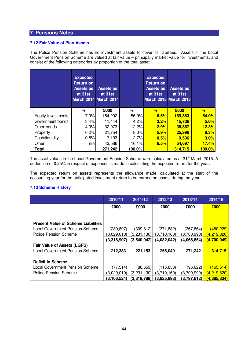# **7.12 Fair Value of Plan Assets**

The Police Pension Scheme has no investment assets to cover its liabilities. Assets in the Local Government Pension Scheme are valued at fair value – principally market value for investments, and consist of the following categories by proportion of the total asset:

|                    | <b>Expected</b><br><b>Return on</b><br><b>Assets as</b><br>at 31st | <b>Assets as</b><br>at 31st<br><b>March 2014 March 2014</b> |        | <b>Expected</b><br><b>Return on</b><br><b>Assets as</b><br>at 31st | <b>Assets as</b><br>at 31st<br><b>March 2015 March 2015</b> |        |
|--------------------|--------------------------------------------------------------------|-------------------------------------------------------------|--------|--------------------------------------------------------------------|-------------------------------------------------------------|--------|
|                    | ℅                                                                  | £000                                                        | %      | $\%$                                                               | £000                                                        | %      |
| Equity investments | $7.0\%$                                                            | 154,292                                                     | 56.9%  | 6.5%                                                               | 169,883                                                     | 54.0%  |
| Government bonds   | 3.4%                                                               | 11,444                                                      | 4.2%   | 2.2%                                                               | 15,736                                                      | 5.0%   |
| Other bonds        | 4.3%                                                               | 32,973                                                      | 12.2%  | 2.9%                                                               | 38,867                                                      | 12.3%  |
| Property           | 6.2%                                                               | 21,754                                                      | 8.0%   | 5.9%                                                               | 25,996                                                      | 8.3%   |
| Cash/liquidity     | 0.5%                                                               | 7,193                                                       | 2.7%   | 0.5%                                                               | 9,536                                                       | 3.0%   |
| Other              | n/a                                                                | 43,586                                                      | 16.1%  | 6.5%                                                               | 54,697                                                      | 17.4%  |
| <b>Total</b>       |                                                                    | 271,242                                                     | 100.0% |                                                                    | 314,715                                                     | 100.0% |

The asset values in the Local Government Pension Scheme were calculated as at 31<sup>st</sup> March 2015. A deduction of 0.25% in respect of expenses is made in calculating the expected return for the year.

The expected return on assets represents the allowance made, calculated at the start of the accounting year for the anticipated investment return to be earned on assets during the year.

# **7.13 Scheme History**

|                                            | 2010/11       | 2011/12     | 2012/13     | 2013/14     | 2014/15             |
|--------------------------------------------|---------------|-------------|-------------|-------------|---------------------|
|                                            | £000          | £000        | £000        | £000        | £000                |
|                                            |               |             |             |             |                     |
|                                            |               |             |             |             |                     |
| <b>Present Value of Scheme Liabilities</b> |               |             |             |             |                     |
| Local Government Pension Scheme            | (289, 897)    | (309, 812)  | (371, 882)  | (367, 864)  | (480, 229)          |
| Police Pension Scheme                      | (3,029,010)   | (3,231,130) | (3,710,160) | (3,700,990) | <u>(4,219,820) </u> |
|                                            | (3,318,907)   | (3,540,942) | (4,082,042) | (4,068,854) | (4,700,049)         |
| <b>Fair Value of Assets (LGPS)</b>         |               |             |             |             |                     |
| Local Government Pension Scheme            | 212,383       | 221,153     | 256,049     | 271,242     | 314,715             |
|                                            |               |             |             |             |                     |
| <b>Deficit in Scheme</b>                   |               |             |             |             |                     |
| <b>Local Government Pension Scheme</b>     | (77, 514)     | (88, 659)   | (115, 833)  | (96, 622)   | (165, 514)          |
| Police Pension Scheme                      | (3,029,010)   | (3,231,130) | (3,710,160) | (3,700,990) | <u>(4,219,820)</u>  |
|                                            | (3, 106, 524) | (3,319,789) | (3,825,993) | (3,797,612) | (4,385,334)         |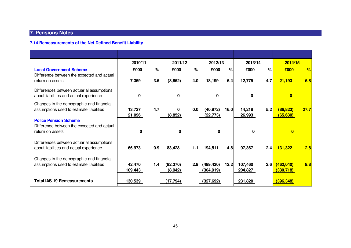# **7.14 Remeasurements of the Net Defined Benefit Liability**

|                                                                                      | 2010/11           |     | 2011/12               |     | 2012/13                  |      | 2013/14            |      | 2014/15                 |      |
|--------------------------------------------------------------------------------------|-------------------|-----|-----------------------|-----|--------------------------|------|--------------------|------|-------------------------|------|
| <b>Local Government Scheme</b><br>Difference between the expected and actual         | £000              | %   | £000                  | %   | £000                     | $\%$ | £000               | $\%$ | £000                    | %    |
| return on assets                                                                     | 7,369             | 3.5 | (8, 852)              | 4.0 | 18,199                   | 6.4  | 12,775             | 4.7  | 21,193                  | 6.8  |
| Differences between actuarial assumptions<br>about liabilities and actual experience | 0                 |     | <sup>0</sup>          |     | n                        |      | <sup>0</sup>       |      |                         |      |
| Changes in the demographic and financial<br>assumptions used to estimate liabilities | 13,727<br>21,096  | 4.7 | (8, 852)              | 0.0 | (40, 972)<br>(22, 773)   | 16.0 | 14,218<br>26,993   | 5.2  | (86, 823)<br>(65, 630)  | 27.7 |
| <b>Police Pension Scheme</b>                                                         |                   |     |                       |     |                          |      |                    |      |                         |      |
| Difference between the expected and actual<br>return on assets                       | 0                 |     | $\bf{0}$              |     | n                        |      | <sup>0</sup>       |      | $\mathbf{0}$            |      |
| Differences between actuarial assumptions<br>about liabilities and actual experience | 66,973            | 0.9 | 83,428                | 1.1 | 194,511                  | 4.8  | 97,367             | 2.4  | 131,322                 | 2.8  |
| Changes in the demographic and financial<br>assumptions used to estimate liabilities | 42,470<br>109,443 | 1.4 | (92, 370)<br>(8, 942) | 2.9 | (499, 430)<br>(304, 919) | 12.2 | 107,460<br>204,827 | 2.6  | (462,040)<br>(330, 718) | 9.8  |
| <b>Total IAS 19 Remeasurements</b>                                                   | 130,539           |     | (17, 794)             |     | (327, 692)               |      | 231,820            |      | (396, 348)              |      |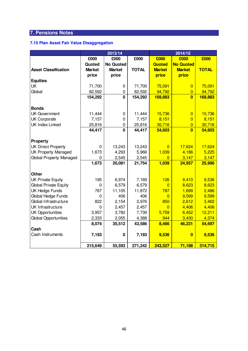# **7.15 Plan Asset Fair Value Disaggregation**

|                                |               | 2013/14          |              | 2014/15        |                  |              |  |
|--------------------------------|---------------|------------------|--------------|----------------|------------------|--------------|--|
|                                | £000          | £000<br>£000     |              | £000           | £000             | £000         |  |
|                                | Quoted        | <b>No Quoted</b> |              | <b>Quoted</b>  | <b>No Quoted</b> |              |  |
| <b>Asset Classification</b>    | <b>Market</b> | <b>Market</b>    | <b>TOTAL</b> | <b>Market</b>  | <b>Market</b>    | <b>TOTAL</b> |  |
|                                | price         | price            |              | price          | price            |              |  |
| <b>Equities</b>                |               |                  |              |                |                  |              |  |
| UK                             | 71,700        | 0                | 71,700       | 75,091         | $\overline{0}$   | 75,091       |  |
| Global                         | 82,592        | 0                | 82,592       | 94,792         | $\overline{0}$   | 94,792       |  |
|                                | 154,292       | $\mathbf{0}$     | 154,292      | 169,883        | $\overline{0}$   | 169,883      |  |
|                                |               |                  |              |                |                  |              |  |
| <b>Bonds</b>                   |               |                  |              |                |                  |              |  |
| <b>UK Government</b>           | 11,444        | 0                | 11,444       | 15,736         | $\overline{0}$   | 15,736       |  |
| <b>UK Corporate</b>            | 7,157         | $\mathbf 0$      | 7,157        | 8,151          | $\overline{0}$   | 8,151        |  |
| <b>UK Index Linked</b>         | 25,816        | $\mathbf 0$      | 25,816       | 30,716         | $\overline{0}$   | 30,716       |  |
|                                | 44,417        | $\mathbf 0$      | 44,417       | 54,603         | $\overline{0}$   | 54,603       |  |
|                                |               |                  |              |                |                  |              |  |
| Property                       |               |                  |              |                |                  |              |  |
| <b>UK Direct Property</b>      | 0             | 13,243           | 13,243       | $\overline{0}$ | 17,624           | 17,624       |  |
| <b>UK Property Managed</b>     | 1,673         | 4,293            | 5,966        | 1,039          | 4,186            | 5,225        |  |
| <b>Global Property Managed</b> | 0             | 2,545            | 2,545        | $\overline{0}$ | 3,147            | 3,147        |  |
|                                | 1,673         | 20,081           | 21,754       | 1,039          | 24,957           | 25,996       |  |
|                                |               |                  |              |                |                  |              |  |
| <b>Other</b>                   |               |                  |              |                |                  |              |  |
| <b>UK Private Equity</b>       | 195           | 6,974            | 7,169        | 126            | 9,410            | 9,536        |  |
| <b>Global Private Equity</b>   | $\mathbf 0$   | 6,579            | 6,579        | $\overline{0}$ | 8,623            | 8,623        |  |
| <b>UK Hedge Funds</b>          | 767           | 11,105           | 11,872       | 787            | 1,699            | 2,486        |  |
| Global Hedge Funds             | 0             | 406              | 406          | $\overline{0}$ | 9,599            | 9,599        |  |
| Global Infrastructure          | 822           | 2,154            | 2,976        | 850            | 2,612            | 3,462        |  |
| UK Infrastructure              | 0             | 2,457            | 2,457        | $\Omega$       | 4,406            | 4,406        |  |
| <b>UK Opportunities</b>        | 3,957         | 3,782            | 7,739        | 5,759          | 6,452            | 12,211       |  |
| <b>Global Opportunities</b>    | 2,333         | 2,055            | 4,388        | 944            | 3,430            | 4,374        |  |
|                                | 8,074         | 35,512           | 43,586       | 8,466          | 46,231           | 54,697       |  |
| Cash                           |               |                  |              |                |                  |              |  |
| Cash Instruments               | 7,193         | 0                | 7,193        | 9,536          | $\bf{0}$         | 9,536        |  |
|                                |               |                  |              |                |                  |              |  |
|                                | 215,649       | 55,593           | 271,242      | 243,527        | 71,188           | 314,715      |  |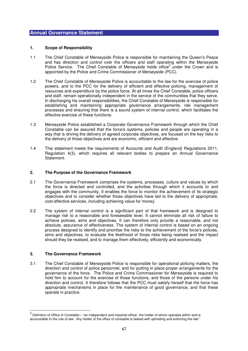#### **1. Scope of Responsibility**

- 1.1 The Chief Constable of Merseyside Police is responsible for maintaining the Queen's Peace and has direction and control over the officers and staff operating within the Merseyside Police Service. The Chief Constable of Merseyside holds office<sup>2</sup> under the Crown and is appointed by the Police and Crime Commissioner of Merseyside (PCC).
- 1.2 The Chief Constable of Merseyside Police is accountable to the law for the exercise of police powers, and to the PCC for the delivery of efficient and effective policing, management of resources and expenditure by the police force. At all times the Chief Constable, police officers and staff, remain operationally independent in the service of the communities that they serve. In discharging his overall responsibilities, the Chief Constable of Merseyside is responsible for establishing and maintaining appropriate governance arrangements, risk management processes and ensuring that there is a sound system of internal control, which facilitates the effective exercise of these functions.
- 1.3 Merseyside Police established a Corporate Governance Framework through which the Chief Constable can be assured that the force's systems, policies and people are operating in a way that is driving the delivery of agreed corporate objectives, are focused on the key risks to the delivery of those objectives and are economic, efficient and effective.
- 1.4 This statement meets the requirements of Accounts and Audit (England) Regulations 2011, Regulation 4(3), which requires all relevant bodies to prepare an Annual Governance Statement.

#### **2. The Purpose of the Governance Framework**

- 2.1 The Governance Framework comprises the systems, processes, culture and values by which the force is directed and controlled, and the activities through which it accounts to and engages with the community. It enables the force to monitor the achievement of its strategic objectives and to consider whether those objectives have led to the delivery of appropriate, cost-effective services, including achieving value for money.
- 2.2 The system of internal control is a significant part of that framework and is designed to manage risk to a reasonable and foreseeable level. It cannot eliminate all risk of failure to achieve policies, aims and objectives. It can therefore only provide a reasonable, and not absolute, assurance of effectiveness. The system of internal control is based on an ongoing process designed to identify and prioritise the risks to the achievement of the force's policies, aims and objectives, to evaluate the likelihood of those risks being realised and the impact should they be realised, and to manage them effectively, efficiently and economically.

#### **3. The Governance Framework**

3.1 The Chief Constable of Merseyside Police is responsible for operational policing matters, the direction and control of police personnel, and for putting in place proper arrangements for the governance of the force. The Police and Crime Commissioner for Merseyside is required to hold him to account for the exercise of those functions, and those of the persons under his direction and control. It therefore follows that the PCC must satisfy herself that the force has appropriate mechanisms in place for the maintenance of good governance, and that these operate in practice.

 2 Definition of Office of Constable – "an independent and impartial officer, the holder of whom operates within and is accountable to the rule of law. Any holder of the office of constable is tasked with upholding and enforcing the law".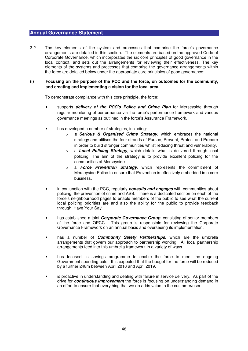3.2 The key elements of the system and processes that comprise the force's governance arrangements are detailed in this section. The elements are based on the approved Code of Corporate Governance, which incorporates the six core principles of good governance in the local context, and sets out the arrangements for reviewing their effectiveness. The key elements of the systems and processes that comprise the governance arrangements within the force are detailed below under the appropriate core principles of good governance:

## **(i) Focusing on the purpose of the PCC and the force, on outcomes for the community, and creating and implementing a vision for the local area.**

- supports **delivery of the PCC's Police and Crime Plan** for Merseyside through regular monitoring of performance via the force's performance framework and various governance meetings as outlined in the force's Assurance Framework.
- has developed a number of strategies, including:
	- o a **Serious & Organised Crime Strategy**, which embraces the national strategy and utilises the four strands of Pursue, Prevent, Protect and Prepare in order to build stronger communities whilst reducing threat and vulnerability.
	- o a **Local Policing Strategy**, which details what is delivered through local policing, The aim of the strategy is to provide excellent policing for the communities of Merseyside.
	- o a **Force Prevention Strategy**, which represents the commitment of Merseyside Police to ensure that Prevention is effectively embedded into core business.
- in conjunction with the PCC, regularly **consults and engages** with communities about policing, the prevention of crime and ASB. There is a dedicated section on each of the force's neighbourhood pages to enable members of the public to see what the current local policing priorities are and also the ability for the public to provide feedback through 'Have Your Say'.
- has established a joint **Corporate Governance Group**, consisting of senior members of the force and OPCC. This group is responsible for reviewing the Corporate Governance Framework on an annual basis and overseeing its implementation.
- has a number of **Community Safety Partnerships**, which are the umbrella arrangements that govern our approach to partnership working. All local partnership arrangements feed into this umbrella framework in a variety of ways.
- has focused its savings programme to enable the force to meet the ongoing Government spending cuts. It is expected that the budget for the force will be reduced by a further £48m between April 2016 and April 2019.
- is proactive in understanding and dealing with failure in service delivery. As part of the drive for **continuous improvement** the force is focusing on understanding demand in an effort to ensure that everything that we do adds value to the customer/user.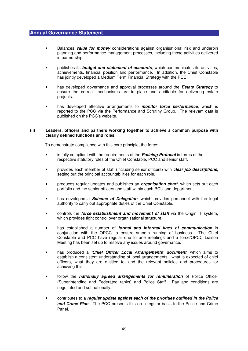- Balances **value for money** considerations against organisational risk and underpin planning and performance management processes, including those activities delivered in partnership.
- publishes its **budget and statement of accounts**, which communicates its activities, achievements, financial position and performance. In addition, the Chief Constable has jointly developed a Medium Term Financial Strategy with the PCC.
- has developed governance and approval processes around the **Estate Strategy** to ensure the correct mechanisms are in place and auditable for delivering estate projects.
- has developed effective arrangements to **monitor force performance**, which is reported to the PCC via the Performance and Scrutiny Group. The relevant data is published on the PCC's website.

#### **(ii) Leaders, officers and partners working together to achieve a common purpose with clearly defined functions and roles.**

- is fully compliant with the requirements of the **Policing Protocol** in terms of the respective statutory roles of the Chief Constable, PCC and senior staff.
- provides each member of staff (including senior officers) with **clear job descriptions**, setting out the principal accountabilities for each role.
- produces regular updates and publishes an **organisation chart**, which sets out each portfolio and the senior officers and staff within each BCU and department.
- has developed a **Scheme of Delegation**, which provides personnel with the legal authority to carry out appropriate duties of the Chief Constable.
- controls the **force establishment and movement of staff** via the Origin IT system, which provides tight control over organisational structure.
- has established a number of **formal and informal lines of communication** in conjunction with the OPCC to ensure smooth running of business. The Chief Constable and PCC have regular one to one meetings and a force/OPCC Liaison Meeting has been set up to resolve any issues around governance.
- has produced a **'Chief Officer Local Arrangements' document**, which aims to establish a consistent understanding of local arrangements - what is expected of chief officers, what they are entitled to, and the relevant policies and procedures for achieving this.
- follow the **nationally agreed arrangements for remuneration** of Police Officer (Superintending and Federated ranks) and Police Staff. Pay and conditions are negotiated and set nationally.
- contributes to a **regular update against each of the priorities outlined in the Police and Crime Plan**. The PCC presents this on a regular basis to the Police and Crime Panel.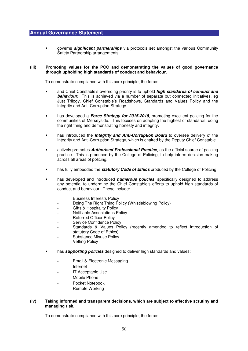• governs **significant partnerships** via protocols set amongst the various Community Safety Partnership arrangements.

#### **(iii) Promoting values for the PCC and demonstrating the values of good governance through upholding high standards of conduct and behaviour.**

To demonstrate compliance with this core principle, the force:

- and Chief Constable's overriding priority is to uphold **high standards of conduct and behaviour**. This is achieved via a number of separate but connected initiatives, eg Just Trilogy, Chief Constable's Roadshows, Standards and Values Policy and the Integrity and Anti-Corruption Strategy.
- has developed a **Force Strategy for 2015-2018**, promoting excellent policing for the communities of Merseyside. This focuses on adapting the highest of standards, doing the right thing and demonstrating honesty and integrity.
- has introduced the **Integrity and Anti-Corruption Board** to oversee delivery of the Integrity and Anti-Corruption Strategy, which is chaired by the Deputy Chief Constable.
- actively promotes **Authorised Professional Practice**, as the official source of policing practice. This is produced by the College of Policing, to help inform decision-making across all areas of policing.
- has fully embedded the **statutory Code of Ethics** produced by the College of Policing.
- has developed and introduced **numerous policies**, specifically designed to address any potential to undermine the Chief Constable's efforts to uphold high standards of conduct and behaviour. These include:
	- Business Interests Policy
	- Doing The Right Thing Policy (Whistleblowing Policy)
	- Gifts & Hospitality Policy
	- Notifiable Associations Policy
	- Referred Officer Policy
	- Service Confidence Policy
	- Standards & Values Policy (recently amended to reflect introduction of statutory Code of Ethics)
	- Substance Misuse Policy
	- **Vetting Policy**
- has **supporting policies** designed to deliver high standards and values:
	- Email & Electronic Messaging
	- **Internet**
	- IT Acceptable Use
	- Mobile Phone
	- Pocket Notebook
	- Remote Working

#### **(iv) Taking informed and transparent decisions, which are subject to effective scrutiny and managing risk.**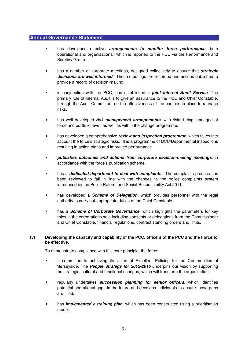- has developed effective **arrangements to monitor force performance**, both operational and organisational, which is reported to the PCC via the Performance and Scrutiny Group.
- has a number of corporate meetings, designed collectively to ensure that **strategic decisions are well informed**. These meetings are recorded and actions published to provide a record of decision-making.
- in conjunction with the PCC, has established a **joint Internal Audit Service**. The primary role of Internal Audit is to give an assurance to the PCC and Chief Constable, through the Audit Committee, on the effectiveness of the controls in place to manage risks.
- has well developed **risk management arrangements**, with risks being managed at force and portfolio level, as well as within the change programme.
- has developed a comprehensive **review and inspection programme**, which takes into account the force's strategic risks. It is a programme of BCU/Departmental inspections resulting in action plans and improved performance.
- **publishes outcomes and actions from corporate decision-making meetings**, in accordance with the force's publication scheme.
- has a **dedicated department to deal with complaints**. The complaints process has been reviewed to fall in line with the changes to the police complaints system introduced by the Police Reform and Social Responsibility Act 2011.
- has developed a **Scheme of Delegation**, which provides personnel with the legal authority to carry out appropriate duties of the Chief Constable.
- has a **Scheme of Corporate Governance**, which highlights the parameters for key roles in the corporations sole including consents or delegations from the Commissioner and Chief Constable, financial regulations, contract standing orders and limits.

## **(v) Developing the capacity and capability of the PCC, officers of the PCC and the Force to be effective.**

- is committed to achieving its vision of Excellent Policing for the Communities of Merseyside. The **People Strategy for 2012-2016** underpins our vision by supporting the strategic, cultural and functional changes, which will transform the organisation.
- regularly undertakes **succession planning for senior officers**, which identifies potential operational gaps in the future and develops individuals to ensure those gaps are filled.
- has **implemented a training plan**, which has been constructed using a prioritisation model.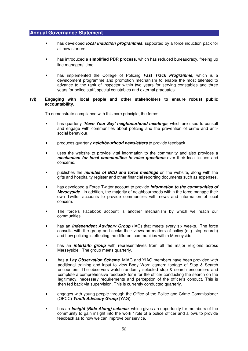- has developed **local induction programmes**, supported by a force induction pack for all new starters.
- has introduced a **simplified PDR process**, which has reduced bureaucracy, freeing up line managers' time.
- has implemented the College of Policing **Fast Track Programme**, which is a development programme and promotion mechanism to enable the most talented to advance to the rank of inspector within two years for serving constables and three years for police staff, special constables and external graduates.

#### **(vi) Engaging with local people and other stakeholders to ensure robust public accountability.**

- has quarterly **'Have Your Say' neighbourhood meetings**, which are used to consult and engage with communities about policing and the prevention of crime and antisocial behaviour.
- produces quarterly **neighbourhood newsletters** to provide feedback.
- uses the website to provide vital information to the community and also provides a **mechanism for local communities to raise questions** over their local issues and concerns.
- publishes the **minutes of BCU and force meetings** on the website, along with the gifts and hospitality register and other financial reporting documents such as expenses.
- has developed a Force Twitter account to provide **information to the communities of Merseyside**. In addition, the majority of neighbourhoods within the force manage their own Twitter accounts to provide communities with news and information of local concern.
- The force's Facebook account is another mechanism by which we reach our communities.
- has an **Independent Advisory Group** (IAG) that meets every six weeks. The force consults with the group and seeks their views on matters of policy (e.g. stop search) and how policing is effecting the different communities within Merseyside.
- has an **interfaith group** with representatives from all the major religions across Merseyside. The group meets quarterly.
- has a **Lay Observation Scheme**. MIAG and YIAG members have been provided with additional training and input to view Body Worn camera footage of Stop & Search encounters. The observers watch randomly selected stop & search encounters and complete a comprehensive feedback form for the officer conducting the search on the legitimacy, necessary requirements and perception of the officer's conduct. This is then fed back via supervision. This is currently conducted quarterly.
- engages with young people through the Office of the Police and Crime Commissioner (OPCC) **Youth Advisory Group** (YAG).
- has an **Insight (Ride Along) scheme**, which gives an opportunity for members of the community to gain insight into the work / role of a police officer and allows to provide feedback as to how we can improve our service.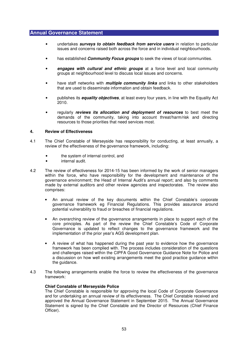- undertakes **surveys to obtain feedback from service users** in relation to particular issues and concerns raised both across the force and in individual neighbourhoods.
- has established **Community Focus groups** to seek the views of local communities.
- **engages with cultural and ethnic groups** at a force level and local community groups at neighbourhood level to discuss local issues and concerns.
- have staff networks with **multiple community links** and links to other stakeholders that are used to disseminate information and obtain feedback.
- publishes its **equality objectives**, at least every four years, in line with the Equality Act 2010.
- regularly **reviews its allocation and deployment of resources** to best meet the demands of the community, taking into account threat/harm/risk and directing resources to those priorities that need services most.

#### **4. Review of Effectiveness**

- 4.1 The Chief Constable of Merseyside has responsibility for conducting, at least annually, a review of the effectiveness of the governance framework, including:
	- the system of internal control, and
	- internal audit.
- 4.2 The review of effectiveness for 2014-15 has been informed by the work of senior managers within the force, who have responsibility for the development and maintenance of the governance environment; the Head of Internal Audit's annual report; and also by comments made by external auditors and other review agencies and inspectorates. The review also comprises:
	- An annual review of the key documents within the Chief Constable's corporate governance framework eg Financial Regulations. This provides assurance around potential vulnerability to fraud or breaches of financial regulations.
	- An overarching review of the governance arrangements in place to support each of the core principles. As part of the review the Chief Constable's Code of Corporate Governance is updated to reflect changes to the governance framework and the implementation of the prior year's AGS development plan.
	- A review of what has happened during the past year to evidence how the governance framework has been complied with. The process includes consideration of the questions and challenges raised within the CIPFA Good Governance Guidance Note for Police and a discussion on how well existing arrangements meet the good practice guidance within the quidance.
- 4.3 The following arrangements enable the force to review the effectiveness of the governance framework:

#### **Chief Constable of Merseyside Police**

The Chief Constable is responsible for approving the local Code of Corporate Governance and for undertaking an annual review of its effectiveness. The Chief Constable received and approved the Annual Governance Statement in September 2015. The Annual Governance Statement is signed by the Chief Constable and the Director of Resources (Chief Finance Officer).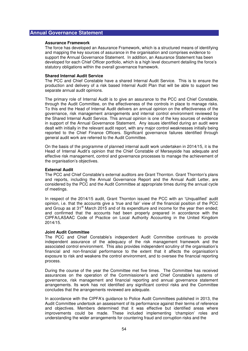#### **Assurance Framework**

The force has developed an Assurance Framework, which is a structured means of identifying and mapping the key sources of assurance in the organisation and comprises evidence to support the Annual Governance Statement. In addition, an Assurance Statement has been developed for each Chief Officer portfolio, which is a high level document detailing the force's statutory obligations within the overall governance framework.

#### **Shared Internal Audit Service**

The PCC and Chief Constable have a shared Internal Audit Service. This is to ensure the production and delivery of a risk based Internal Audit Plan that will be able to support two separate annual audit opinions.

The primary role of Internal Audit is to give an assurance to the PCC and Chief Constable, through the Audit Committee, on the effectiveness of the controls in place to manage risks. To this end the Head of Internal Audit delivers an annual opinion on the effectiveness of the governance, risk management arrangements and internal control environment reviewed by the Shared Internal Audit Service. This annual opinion is one of the key sources of evidence in support of the Annual Governance Statement. Any issues identified during an audit were dealt with initially in the relevant audit report, with any major control weaknesses initially being reported to the Chief Finance Officers. Significant governance failures identified through general audit work are referred to the Audit Committee.

On the basis of the programme of planned internal audit work undertaken in 2014/15, it is the Head of Internal Audit's opinion that the Chief Constable of Merseyside has adequate and effective risk management, control and governance processes to manage the achievement of the organisation's objectives.

#### **External Audit**

The PCC and Chief Constable's external auditors are Grant Thornton. Grant Thornton's plans and reports, including the Annual Governance Report and the Annual Audit Letter, are considered by the PCC and the Audit Committee at appropriate times during the annual cycle of meetings.

In respect of the 2014/15 audit, Grant Thornton issued the PCC with an 'Unqualified' audit opinion, i.e. that the accounts give a 'true and fair' view of the financial position of the PCC and Group as at 31st March 2015 and of its expenditure and income for the year then ended; and confirmed that the accounts had been properly prepared in accordance with the CIPFA/LASAAC Code of Practice on Local Authority Accounting in the United Kingdom 2014/15.

# **Joint Audit Committee**

The PCC and Chief Constable's independent Audit Committee continues to provide independent assurance of the adequacy of the risk management framework and the associated control environment. This also provides independent scrutiny of the organisation's financial and non-financial performance to the extent that it affects the organisation's exposure to risk and weakens the control environment, and to oversee the financial reporting process.

During the course of the year the Committee met five times. The Committee has received assurances on the operation of the Commissioner's and Chief Constable's systems of governance, risk management and financial reporting and annual governance statement arrangements. Its work has not identified any significant control risks and the Committee concludes that the arrangements reviewed are adequate.

In accordance with the CIPFA's guidance to Police Audit Committees published in 2013, the Audit Committee undertook an assessment of its performance against their terms of reference and objectives. Members determined that it was effective but identified areas where improvements could be made. These included implementing 'champion' roles and understanding the wider arrangements for countering fraud and corruption risks and the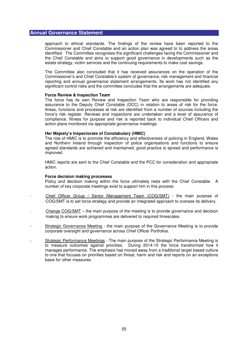approach to ethical standards. The findings of the review have been reported to the Commissioner and Chief Constable and an action plan was agreed to to address the areas identified. The Committee recognises the significant challenges facing the Commissioner and the Chief Constable and aims to support good governance in developments such as the estate strategy, victim services and the continuing requirements to make cost savings.

The Committee also concluded that it has received assurances on the operation of the Commissioner's and Chief Constable's system of governance, risk management and financial reporting and annual governance statement arrangements. Its work has not identified any significant control risks and the committee concludes that the arrangements are adequate.

#### **Force Review & Inspection Team**

The force has its own Review and Inspection Team who are responsible for providing assurance to the Deputy Chief Constable (DCC) in relation to areas of risk for the force. Areas, functions and processes at risk are identified from a number of sources including the force's risk register. Reviews and inspections are undertaken and a level of assurance of compliance, fitness for purpose and risk is reported back to individual Chief Officers and action plans monitored via appropriate governance meetings.

#### **Her Majesty's Inspectorate of Constabulary (HMIC)**

The role of HMIC is to promote the efficiency and effectiveness of policing in England, Wales and Northern Ireland through inspection of police organisations and functions to ensure agreed standards are achieved and maintained; good practice is spread and performance is improved.

HMIC reports are sent to the Chief Constable and the PCC for consideration and appropriate action.

#### **Force decision making processes**

Policy and decision making within the force ultimately rests with the Chief Constable. A number of key corporate meetings exist to support him in this process:

- Chief Officer Group / Senior Management Team (COG/SMT) the main purpose of COG/SMT is to set force strategy and provide an integrated approach to oversee its delivery.
- Change COG/SMT the main purpose of the meeting is to provide governance and decision making to ensure work programmes are delivered to required timescales.
- Strategic Governance Meeting the main purpose of the Governance Meeting is to provide corporate oversight and governance across Chief Officer Portfolios.
- Strategic Performance Meetings The main purpose of the Strategic Performance Meeting is to measure outcomes against priorities. During 2014-15 the force transformed how it manages performance. The emphasis has moved away from a traditional target based culture to one that focuses on priorities based on threat, harm and risk and reports on an exceptions basis for other measures.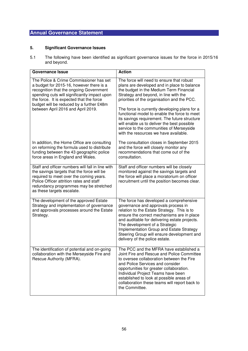# **5. Significant Governance Issues**

5.1 The following have been identified as significant governance issues for the force in 2015/16 and beyond.

| <b>Governance Issue</b>                                                                                                                                                                                                                                                                                      | <b>Action</b>                                                                                                                                                                                                                                                                                                                                                                                                                                                                                                     |
|--------------------------------------------------------------------------------------------------------------------------------------------------------------------------------------------------------------------------------------------------------------------------------------------------------------|-------------------------------------------------------------------------------------------------------------------------------------------------------------------------------------------------------------------------------------------------------------------------------------------------------------------------------------------------------------------------------------------------------------------------------------------------------------------------------------------------------------------|
| The Police & Crime Commissioner has set<br>a budget for 2015-16, however there is a<br>recognition that the ongoing Government<br>spending cuts will significantly impact upon<br>the force. It is expected that the force<br>budget will be reduced by a further £48m<br>between April 2016 and April 2019. | The force will need to ensure that robust<br>plans are developed and in place to balance<br>the budget in the Medium Term Financial<br>Strategy and beyond, in line with the<br>priorities of the organisation and the PCC.<br>The force is currently developing plans for a<br>functional model to enable the force to meet<br>its savings requirement. The future structure<br>will enable us to deliver the best possible<br>service to the communities of Merseyside<br>with the resources we have available. |
| In addition, the Home Office are consulting<br>on reforming the formula used to distribute<br>funding between the 43 geographic police<br>force areas in England and Wales.                                                                                                                                  | The consultation closes in September 2015<br>and the force will closely monitor any<br>recommendations that come out of the<br>consultation.                                                                                                                                                                                                                                                                                                                                                                      |
| Staff and officer numbers will fall in line with<br>the savings targets that the force will be<br>required to meet over the coming years.<br>Police Officer attrition rates and staff<br>redundancy programmes may be stretched<br>as these targets escalate.                                                | Staff and officer numbers will be closely<br>monitored against the savings targets and<br>the force will place a moratorium on officer<br>recruitment until the position becomes clear.                                                                                                                                                                                                                                                                                                                           |
| The development of the approved Estate<br>Strategy and implementation of governance<br>and approvals processes around the Estate<br>Strategy.                                                                                                                                                                | The force has developed a comprehensive<br>governance and approvals process in<br>relation to the Estate Strategy. This is to<br>ensure the correct mechanisms are in place<br>and auditable for delivering estate projects.<br>The development of a Strategic<br>Implementation Group and Estate Strategy<br>Steering Group will ensure development and<br>delivery of the police estate.                                                                                                                        |
| The identification of potential and on-going<br>collaboration with the Merseyside Fire and<br>Rescue Authority (MFRA).                                                                                                                                                                                       | The PCC and the MFRA have established a<br>Joint Fire and Rescue and Police Committee<br>to oversee collaboration between the Fire<br>and Police Services and consider<br>opportunities for greater collaboration.<br>Individual Project Teams have been<br>established to look at possible areas of<br>collaboration these teams will report back to<br>the Committee.                                                                                                                                           |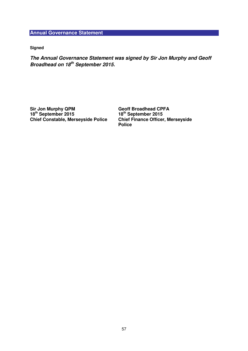**Signed** 

**The Annual Governance Statement was signed by Sir Jon Murphy and Geoff Broadhead on 18th September 2015.** 

**Sir Jon Murphy QPM 18th September 2015 Chief Constable, Merseyside Police**  **Geoff Broadhead CPFA 18th September 2015 Chief Finance Officer, Merseyside Police**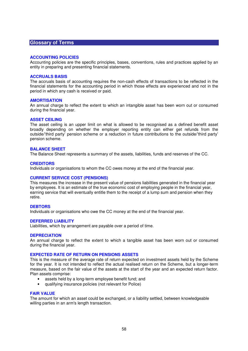## **Glossary of Terms**

#### **ACCOUNTING POLICIES**

Accounting policies are the specific principles, bases, conventions, rules and practices applied by an entity in preparing and presenting financial statements.

#### **ACCRUALS BASIS**

The accruals basis of accounting requires the non-cash effects of transactions to be reflected in the financial statements for the accounting period in which those effects are experienced and not in the period in which any cash is received or paid.

#### **AMORTISATION**

An annual charge to reflect the extent to which an intangible asset has been worn out or consumed during the financial year.

#### **ASSET CEILING**

The asset ceiling is an upper limit on what is allowed to be recognised as a defined benefit asset broadly depending on whether the employer reporting entity can either get refunds from the outside/'third party' pension scheme or a reduction in future contributions to the outside/'third party' pension scheme.

#### **BALANCE SHEET**

The Balance Sheet represents a summary of the assets, liabilities, funds and reserves of the CC.

#### **CREDITORS**

Individuals or organisations to whom the CC owes money at the end of the financial year.

#### **CURRENT SERVICE COST (PENSIONS)**

This measures the increase in the present value of pensions liabilities generated in the financial year by employees. It is an estimate of the true economic cost of employing people in the financial year, earning service that will eventually entitle them to the receipt of a lump sum and pension when they retire.

#### **DEBTORS**

Individuals or organisations who owe the CC money at the end of the financial year.

#### **DEFERRED LIABILITY**

Liabilities, which by arrangement are payable over a period of time.

#### **DEPRECIATION**

An annual charge to reflect the extent to which a tangible asset has been worn out or consumed during the financial year.

### **EXPECTED RATE OF RETURN ON PENSIONS ASSETS**

This is the measure of the average rate of return expected on investment assets held by the Scheme for the year. It is not intended to reflect the actual realised return on the Scheme, but a longer-term measure, based on the fair value of the assets at the start of the year and an expected return factor. Plan assets comprise:

- assets held by a long-term employee benefit fund; and
- qualifying insurance policies (not relevant for Police)

#### **FAIR VALUE**

The amount for which an asset could be exchanged, or a liability settled, between knowledgeable willing parties in an arm's length transaction.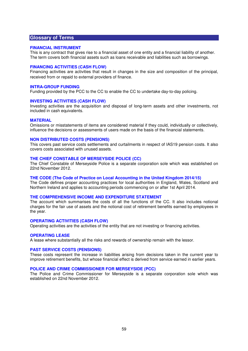# **Glossary of Terms**

#### **FINANCIAL INSTRUMENT**

This is any contract that gives rise to a financial asset of one entity and a financial liability of another. The term covers both financial assets such as loans receivable and liabilities such as borrowings.

#### **FINANCING ACTIVITIES (CASH FLOW)**

Financing activities are activities that result in changes in the size and composition of the principal, received from or repaid to external providers of finance.

#### **INTRA-GROUP FUNDING**

Funding provided by the PCC to the CC to enable the CC to undertake day-to-day policing.

#### **INVESTING ACTIVITIES (CASH FLOW)**

Investing activities are the acquisition and disposal of long-term assets and other investments, not included in cash equivalents.

#### **MATERIAL**

Omissions or misstatements of items are considered material if they could, individually or collectively, influence the decisions or assessments of users made on the basis of the financial statements.

# **NON DISTRIBUTED COSTS (PENSIONS)**

This covers past service costs settlements and curtailments in respect of IAS19 pension costs. It also covers costs associated with unused assets.

#### **THE CHIEF CONSTABLE OF MERSEYSIDE POLICE (CC)**

The Chief Constable of Merseyside Police is a separate corporation sole which was established on 22nd November 2012.

#### **THE CODE (The Code of Practice on Local Accounting in the United Kingdom 2014/15)**

The Code defines proper accounting practices for local authorities in England, Wales, Scotland and Northern Ireland and applies to accounting periods commencing on or after 1st April 2014.

#### **THE COMPREHENSIVE INCOME AND EXPENDITURE STATEMENT**

The account which summarises the costs of all the functions of the CC. It also includes notional charges for the fair use of assets and the notional cost of retirement benefits earned by employees in the year.

#### **OPERATING ACTIVITIES (CASH FLOW)**

Operating activities are the activities of the entity that are not investing or financing activities.

#### **OPERATING LEASE**

A lease where substantially all the risks and rewards of ownership remain with the lessor.

### **PAST SERVICE COSTS (PENSIONS)**

These costs represent the increase in liabilities arising from decisions taken in the current year to improve retirement benefits, but whose financial effect is derived from service earned in earlier years.

#### **POLICE AND CRIME COMMISSIONER FOR MERSEYSIDE (PCC)**

The Police and Crime Commissioner for Merseyside is a separate corporation sole which was established on 22nd November 2012.